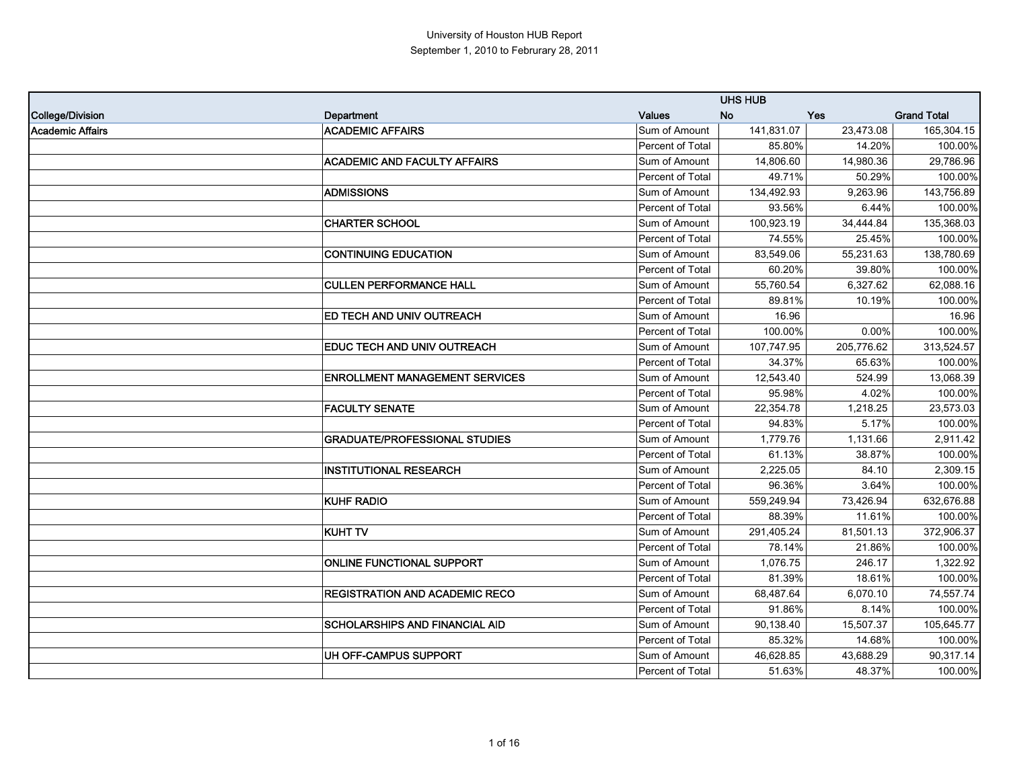|                         |                                       |                  | <b>UHS HUB</b> |            |                    |
|-------------------------|---------------------------------------|------------------|----------------|------------|--------------------|
| <b>College/Division</b> | Department                            | <b>Values</b>    | <b>No</b>      | <b>Yes</b> | <b>Grand Total</b> |
| <b>Academic Affairs</b> | <b>ACADEMIC AFFAIRS</b>               | Sum of Amount    | 141,831.07     | 23,473.08  | 165,304.15         |
|                         |                                       | Percent of Total | 85.80%         | 14.20%     | 100.00%            |
|                         | <b>ACADEMIC AND FACULTY AFFAIRS</b>   | Sum of Amount    | 14,806.60      | 14,980.36  | 29,786.96          |
|                         |                                       | Percent of Total | 49.71%         | 50.29%     | 100.00%            |
|                         | <b>ADMISSIONS</b>                     | Sum of Amount    | 134,492.93     | 9,263.96   | 143,756.89         |
|                         |                                       | Percent of Total | 93.56%         | 6.44%      | 100.00%            |
|                         | <b>CHARTER SCHOOL</b>                 | Sum of Amount    | 100,923.19     | 34,444.84  | 135,368.03         |
|                         |                                       | Percent of Total | 74.55%         | 25.45%     | 100.00%            |
|                         | <b>CONTINUING EDUCATION</b>           | Sum of Amount    | 83,549.06      | 55,231.63  | 138,780.69         |
|                         |                                       | Percent of Total | 60.20%         | 39.80%     | 100.00%            |
|                         | <b>CULLEN PERFORMANCE HALL</b>        | Sum of Amount    | 55,760.54      | 6.327.62   | 62,088.16          |
|                         |                                       | Percent of Total | 89.81%         | 10.19%     | 100.00%            |
|                         | <b>ED TECH AND UNIV OUTREACH</b>      | Sum of Amount    | 16.96          |            | 16.96              |
|                         |                                       | Percent of Total | 100.00%        | $0.00\%$   | 100.00%            |
|                         | EDUC TECH AND UNIV OUTREACH           | Sum of Amount    | 107,747.95     | 205,776.62 | 313,524.57         |
|                         |                                       | Percent of Total | 34.37%         | 65.63%     | 100.00%            |
|                         | <b>ENROLLMENT MANAGEMENT SERVICES</b> | Sum of Amount    | 12,543.40      | 524.99     | 13,068.39          |
|                         |                                       | Percent of Total | 95.98%         | 4.02%      | 100.00%            |
|                         | <b>FACULTY SENATE</b>                 | Sum of Amount    | 22,354.78      | 1,218.25   | 23,573.03          |
|                         |                                       | Percent of Total | 94.83%         | 5.17%      | 100.00%            |
|                         | <b>GRADUATE/PROFESSIONAL STUDIES</b>  | Sum of Amount    | 1,779.76       | 1,131.66   | 2,911.42           |
|                         |                                       | Percent of Total | 61.13%         | 38.87%     | 100.00%            |
|                         | <b>INSTITUTIONAL RESEARCH</b>         | Sum of Amount    | 2,225.05       | 84.10      | 2,309.15           |
|                         |                                       | Percent of Total | 96.36%         | 3.64%      | 100.00%            |
|                         | <b>KUHF RADIO</b>                     | Sum of Amount    | 559,249.94     | 73,426.94  | 632,676.88         |
|                         |                                       | Percent of Total | 88.39%         | 11.61%     | 100.00%            |
|                         | <b>KUHT TV</b>                        | Sum of Amount    | 291,405.24     | 81,501.13  | 372,906.37         |
|                         |                                       | Percent of Total | 78.14%         | 21.86%     | 100.00%            |
|                         | <b>ONLINE FUNCTIONAL SUPPORT</b>      | Sum of Amount    | 1,076.75       | 246.17     | 1,322.92           |
|                         |                                       | Percent of Total | 81.39%         | 18.61%     | 100.00%            |
|                         | <b>REGISTRATION AND ACADEMIC RECO</b> | Sum of Amount    | 68,487.64      | 6,070.10   | 74,557.74          |
|                         |                                       | Percent of Total | 91.86%         | 8.14%      | 100.00%            |
|                         | <b>SCHOLARSHIPS AND FINANCIAL AID</b> | Sum of Amount    | 90,138.40      | 15,507.37  | 105,645.77         |
|                         |                                       | Percent of Total | 85.32%         | 14.68%     | 100.00%            |
|                         | UH OFF-CAMPUS SUPPORT                 | Sum of Amount    | 46,628.85      | 43,688.29  | 90,317.14          |
|                         |                                       | Percent of Total | 51.63%         | 48.37%     | 100.00%            |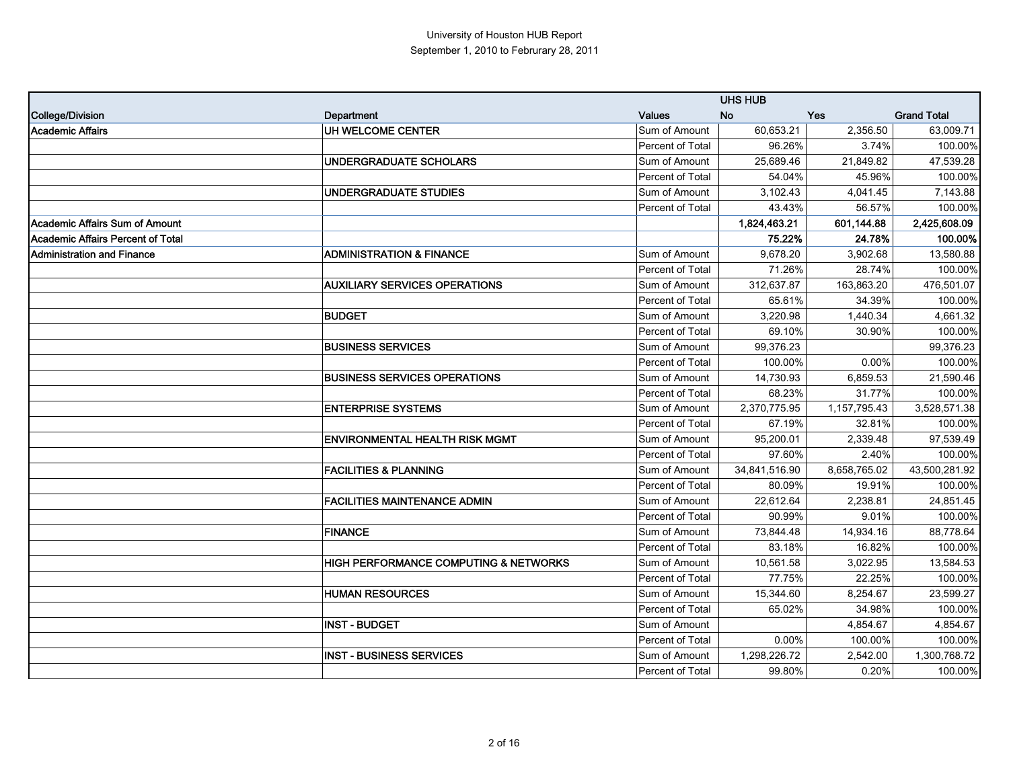|                                          |                                                  |                         | <b>UHS HUB</b> |              |                    |
|------------------------------------------|--------------------------------------------------|-------------------------|----------------|--------------|--------------------|
| <b>College/Division</b>                  | Department                                       | <b>Values</b>           | No.            | <b>Yes</b>   | <b>Grand Total</b> |
| <b>Academic Affairs</b>                  | UH WELCOME CENTER                                | Sum of Amount           | 60,653.21      | 2,356.50     | 63,009.71          |
|                                          |                                                  | Percent of Total        | 96.26%         | 3.74%        | 100.00%            |
|                                          | <b>UNDERGRADUATE SCHOLARS</b>                    | Sum of Amount           | 25,689.46      | 21,849.82    | 47,539.28          |
|                                          |                                                  | Percent of Total        | 54.04%         | 45.96%       | 100.00%            |
|                                          | <b>UNDERGRADUATE STUDIES</b>                     | Sum of Amount           | 3,102.43       | 4,041.45     | 7,143.88           |
|                                          |                                                  | Percent of Total        | 43.43%         | 56.57%       | 100.00%            |
| <b>Academic Affairs Sum of Amount</b>    |                                                  |                         | 1,824,463.21   | 601,144.88   | 2,425,608.09       |
| <b>Academic Affairs Percent of Total</b> |                                                  |                         | 75.22%         | 24.78%       | 100.00%            |
| <b>Administration and Finance</b>        | <b>ADMINISTRATION &amp; FINANCE</b>              | Sum of Amount           | 9,678.20       | 3,902.68     | 13,580.88          |
|                                          |                                                  | Percent of Total        | 71.26%         | 28.74%       | 100.00%            |
|                                          | <b>AUXILIARY SERVICES OPERATIONS</b>             | Sum of Amount           | 312,637.87     | 163,863.20   | 476,501.07         |
|                                          |                                                  | Percent of Total        | 65.61%         | 34.39%       | 100.00%            |
|                                          | <b>BUDGET</b>                                    | Sum of Amount           | 3,220.98       | 1,440.34     | 4,661.32           |
|                                          |                                                  | Percent of Total        | 69.10%         | 30.90%       | 100.00%            |
|                                          | <b>BUSINESS SERVICES</b>                         | Sum of Amount           | 99.376.23      |              | 99.376.23          |
|                                          |                                                  | Percent of Total        | 100.00%        | 0.00%        | 100.00%            |
|                                          | <b>BUSINESS SERVICES OPERATIONS</b>              | Sum of Amount           | 14,730.93      | 6,859.53     | 21,590.46          |
|                                          |                                                  | Percent of Total        | 68.23%         | 31.77%       | 100.00%            |
|                                          | <b>ENTERPRISE SYSTEMS</b>                        | Sum of Amount           | 2,370,775.95   | 1,157,795.43 | 3,528,571.38       |
|                                          |                                                  | Percent of Total        | 67.19%         | 32.81%       | 100.00%            |
|                                          | <b>ENVIRONMENTAL HEALTH RISK MGMT</b>            | Sum of Amount           | 95,200.01      | 2,339.48     | 97,539.49          |
|                                          |                                                  | Percent of Total        | 97.60%         | 2.40%        | 100.00%            |
|                                          | <b>FACILITIES &amp; PLANNING</b>                 | Sum of Amount           | 34,841,516.90  | 8,658,765.02 | 43,500,281.92      |
|                                          |                                                  | Percent of Total        | 80.09%         | 19.91%       | 100.00%            |
|                                          | <b>FACILITIES MAINTENANCE ADMIN</b>              | Sum of Amount           | 22.612.64      | 2,238.81     | 24,851.45          |
|                                          |                                                  | Percent of Total        | 90.99%         | 9.01%        | 100.00%            |
|                                          | <b>FINANCE</b>                                   | Sum of Amount           | 73,844.48      | 14,934.16    | 88,778.64          |
|                                          |                                                  | Percent of Total        | 83.18%         | 16.82%       | 100.00%            |
|                                          | <b>HIGH PERFORMANCE COMPUTING &amp; NETWORKS</b> | Sum of Amount           | 10,561.58      | 3,022.95     | 13,584.53          |
|                                          |                                                  | Percent of Total        | 77.75%         | 22.25%       | 100.00%            |
|                                          | <b>HUMAN RESOURCES</b>                           | Sum of Amount           | 15,344.60      | 8,254.67     | 23,599.27          |
|                                          |                                                  | Percent of Total        | 65.02%         | 34.98%       | 100.00%            |
|                                          | <b>INST - BUDGET</b>                             | Sum of Amount           |                | 4,854.67     | 4,854.67           |
|                                          |                                                  | <b>Percent of Total</b> | 0.00%          | 100.00%      | 100.00%            |
|                                          | <b>INST - BUSINESS SERVICES</b>                  | Sum of Amount           | 1,298,226.72   | 2,542.00     | 1,300,768.72       |
|                                          |                                                  | Percent of Total        | 99.80%         | 0.20%        | 100.00%            |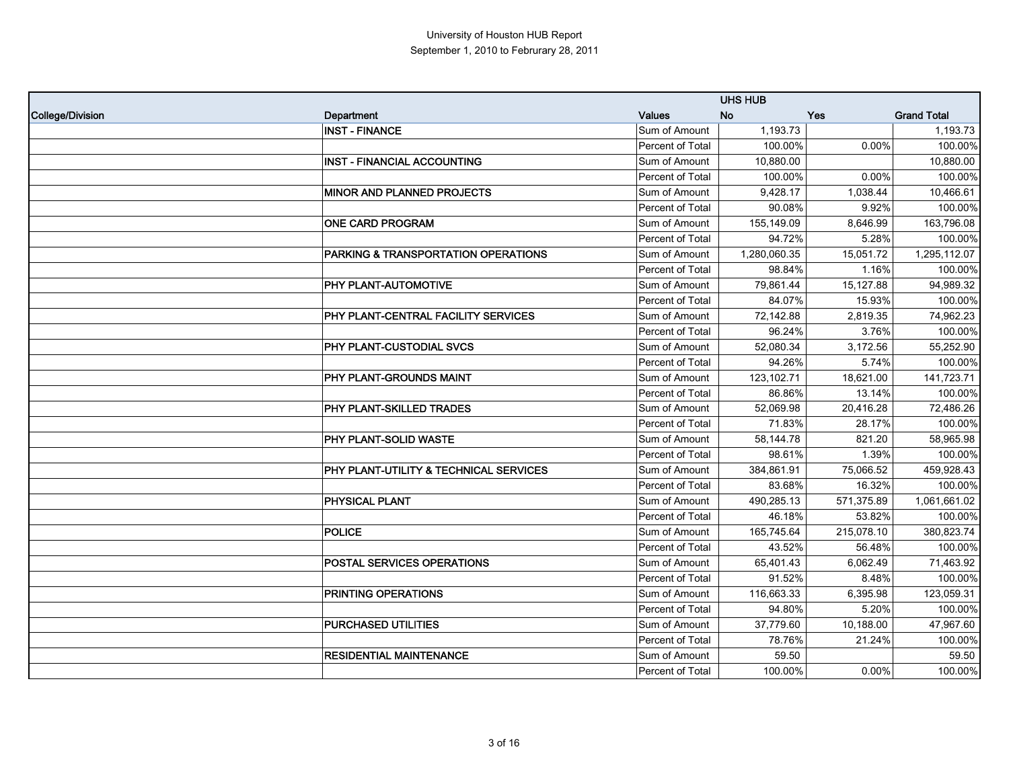|                         |                                        |                  | <b>UHS HUB</b> |            |                    |
|-------------------------|----------------------------------------|------------------|----------------|------------|--------------------|
| <b>College/Division</b> | Department                             | <b>Values</b>    | <b>No</b>      | Yes        | <b>Grand Total</b> |
|                         | <b>INST - FINANCE</b>                  | Sum of Amount    | 1,193.73       |            | 1,193.73           |
|                         |                                        | Percent of Total | 100.00%        | $0.00\%$   | 100.00%            |
|                         | <b>INST - FINANCIAL ACCOUNTING</b>     | Sum of Amount    | 10,880.00      |            | 10,880.00          |
|                         |                                        | Percent of Total | 100.00%        | 0.00%      | 100.00%            |
|                         | <b>MINOR AND PLANNED PROJECTS</b>      | Sum of Amount    | 9,428.17       | 1,038.44   | 10,466.61          |
|                         |                                        | Percent of Total | 90.08%         | 9.92%      | 100.00%            |
|                         | <b>ONE CARD PROGRAM</b>                | Sum of Amount    | 155,149.09     | 8,646.99   | 163,796.08         |
|                         |                                        | Percent of Total | 94.72%         | 5.28%      | 100.00%            |
|                         | PARKING & TRANSPORTATION OPERATIONS    | Sum of Amount    | 1,280,060.35   | 15,051.72  | 1,295,112.07       |
|                         |                                        | Percent of Total | 98.84%         | 1.16%      | 100.00%            |
|                         | PHY PLANT-AUTOMOTIVE                   | Sum of Amount    | 79,861.44      | 15,127.88  | 94,989.32          |
|                         |                                        | Percent of Total | 84.07%         | 15.93%     | 100.00%            |
|                         | PHY PLANT-CENTRAL FACILITY SERVICES    | Sum of Amount    | 72,142.88      | 2.819.35   | 74,962.23          |
|                         |                                        | Percent of Total | 96.24%         | 3.76%      | 100.00%            |
|                         | <b>PHY PLANT-CUSTODIAL SVCS</b>        | Sum of Amount    | 52,080.34      | 3,172.56   | 55,252.90          |
|                         |                                        | Percent of Total | 94.26%         | 5.74%      | 100.00%            |
|                         | <b>PHY PLANT-GROUNDS MAINT</b>         | Sum of Amount    | 123,102.71     | 18,621.00  | 141,723.71         |
|                         |                                        | Percent of Total | 86.86%         | 13.14%     | 100.00%            |
|                         | PHY PLANT-SKILLED TRADES               | Sum of Amount    | 52,069.98      | 20,416.28  | 72,486.26          |
|                         |                                        | Percent of Total | 71.83%         | 28.17%     | 100.00%            |
|                         | PHY PLANT-SOLID WASTE                  | Sum of Amount    | 58,144.78      | 821.20     | 58,965.98          |
|                         |                                        | Percent of Total | 98.61%         | 1.39%      | 100.00%            |
|                         | PHY PLANT-UTILITY & TECHNICAL SERVICES | Sum of Amount    | 384,861.91     | 75,066.52  | 459,928.43         |
|                         |                                        | Percent of Total | 83.68%         | 16.32%     | 100.00%            |
|                         | <b>PHYSICAL PLANT</b>                  | Sum of Amount    | 490,285.13     | 571,375.89 | 1,061,661.02       |
|                         |                                        | Percent of Total | 46.18%         | 53.82%     | 100.00%            |
|                         | <b>POLICE</b>                          | Sum of Amount    | 165,745.64     | 215,078.10 | 380,823.74         |
|                         |                                        | Percent of Total | 43.52%         | 56.48%     | 100.00%            |
|                         | <b>POSTAL SERVICES OPERATIONS</b>      | Sum of Amount    | 65,401.43      | 6,062.49   | 71,463.92          |
|                         |                                        | Percent of Total | 91.52%         | 8.48%      | 100.00%            |
|                         | PRINTING OPERATIONS                    | Sum of Amount    | 116,663.33     | 6,395.98   | 123,059.31         |
|                         |                                        | Percent of Total | 94.80%         | 5.20%      | 100.00%            |
|                         | PURCHASED UTILITIES                    | Sum of Amount    | 37,779.60      | 10,188.00  | 47,967.60          |
|                         |                                        | Percent of Total | 78.76%         | 21.24%     | 100.00%            |
|                         | <b>RESIDENTIAL MAINTENANCE</b>         | Sum of Amount    | 59.50          |            | 59.50              |
|                         |                                        | Percent of Total | 100.00%        | 0.00%      | 100.00%            |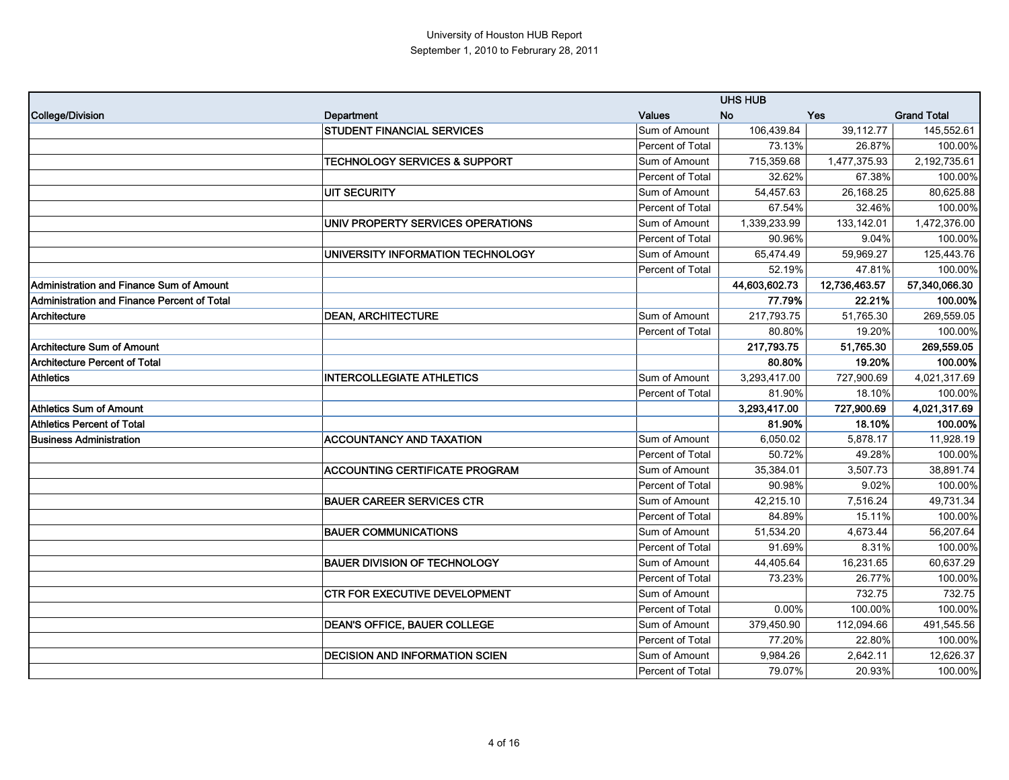|                                             |                                          |                         | <b>UHS HUB</b> |               |                    |
|---------------------------------------------|------------------------------------------|-------------------------|----------------|---------------|--------------------|
| <b>College/Division</b>                     | Department                               | <b>Values</b>           | <b>No</b>      | Yes           | <b>Grand Total</b> |
|                                             | <b>STUDENT FINANCIAL SERVICES</b>        | Sum of Amount           | 106,439.84     | 39,112.77     | 145,552.61         |
|                                             |                                          | <b>Percent of Total</b> | 73.13%         | 26.87%        | 100.00%            |
|                                             | <b>TECHNOLOGY SERVICES &amp; SUPPORT</b> | Sum of Amount           | 715,359.68     | 1,477,375.93  | 2,192,735.61       |
|                                             |                                          | Percent of Total        | 32.62%         | 67.38%        | 100.00%            |
|                                             | <b>UIT SECURITY</b>                      | Sum of Amount           | 54,457.63      | 26,168.25     | 80,625.88          |
|                                             |                                          | Percent of Total        | 67.54%         | 32.46%        | 100.00%            |
|                                             | UNIV PROPERTY SERVICES OPERATIONS        | Sum of Amount           | 1,339,233.99   | 133,142.01    | 1,472,376.00       |
|                                             |                                          | Percent of Total        | 90.96%         | 9.04%         | 100.00%            |
|                                             | UNIVERSITY INFORMATION TECHNOLOGY        | Sum of Amount           | 65,474.49      | 59.969.27     | 125,443.76         |
|                                             |                                          | Percent of Total        | 52.19%         | 47.81%        | 100.00%            |
| Administration and Finance Sum of Amount    |                                          |                         | 44,603,602.73  | 12,736,463.57 | 57,340,066.30      |
| Administration and Finance Percent of Total |                                          |                         | 77.79%         | 22.21%        | 100.00%            |
| Architecture                                | <b>DEAN, ARCHITECTURE</b>                | Sum of Amount           | 217,793.75     | 51,765.30     | 269,559.05         |
|                                             |                                          | Percent of Total        | 80.80%         | 19.20%        | 100.00%            |
| <b>Architecture Sum of Amount</b>           |                                          |                         | 217,793.75     | 51,765.30     | 269,559.05         |
| <b>Architecture Percent of Total</b>        |                                          |                         | 80.80%         | 19.20%        | 100.00%            |
| <b>Athletics</b>                            | <b>INTERCOLLEGIATE ATHLETICS</b>         | Sum of Amount           | 3,293,417.00   | 727,900.69    | 4,021,317.69       |
|                                             |                                          | Percent of Total        | 81.90%         | 18.10%        | 100.00%            |
| Athletics Sum of Amount                     |                                          |                         | 3,293,417.00   | 727,900.69    | 4,021,317.69       |
| <b>Athletics Percent of Total</b>           |                                          |                         | 81.90%         | 18.10%        | 100.00%            |
| <b>Business Administration</b>              | <b>ACCOUNTANCY AND TAXATION</b>          | Sum of Amount           | 6,050.02       | 5,878.17      | 11,928.19          |
|                                             |                                          | Percent of Total        | 50.72%         | 49.28%        | 100.00%            |
|                                             | <b>ACCOUNTING CERTIFICATE PROGRAM</b>    | Sum of Amount           | 35,384.01      | 3,507.73      | 38,891.74          |
|                                             |                                          | Percent of Total        | 90.98%         | 9.02%         | 100.00%            |
|                                             | <b>BAUER CAREER SERVICES CTR</b>         | Sum of Amount           | 42,215.10      | 7,516.24      | 49,731.34          |
|                                             |                                          | Percent of Total        | 84.89%         | 15.11%        | 100.00%            |
|                                             | <b>BAUER COMMUNICATIONS</b>              | Sum of Amount           | 51,534.20      | 4,673.44      | 56,207.64          |
|                                             |                                          | Percent of Total        | 91.69%         | 8.31%         | 100.00%            |
|                                             | <b>BAUER DIVISION OF TECHNOLOGY</b>      | Sum of Amount           | 44,405.64      | 16,231.65     | 60,637.29          |
|                                             |                                          | Percent of Total        | 73.23%         | 26.77%        | 100.00%            |
|                                             | CTR FOR EXECUTIVE DEVELOPMENT            | Sum of Amount           |                | 732.75        | 732.75             |
|                                             |                                          | Percent of Total        | 0.00%          | 100.00%       | 100.00%            |
|                                             | <b>DEAN'S OFFICE, BAUER COLLEGE</b>      | Sum of Amount           | 379,450.90     | 112,094.66    | 491,545.56         |
|                                             |                                          | Percent of Total        | 77.20%         | 22.80%        | 100.00%            |
|                                             | <b>DECISION AND INFORMATION SCIEN</b>    | Sum of Amount           | 9,984.26       | 2,642.11      | 12,626.37          |
|                                             |                                          | Percent of Total        | 79.07%         | 20.93%        | 100.00%            |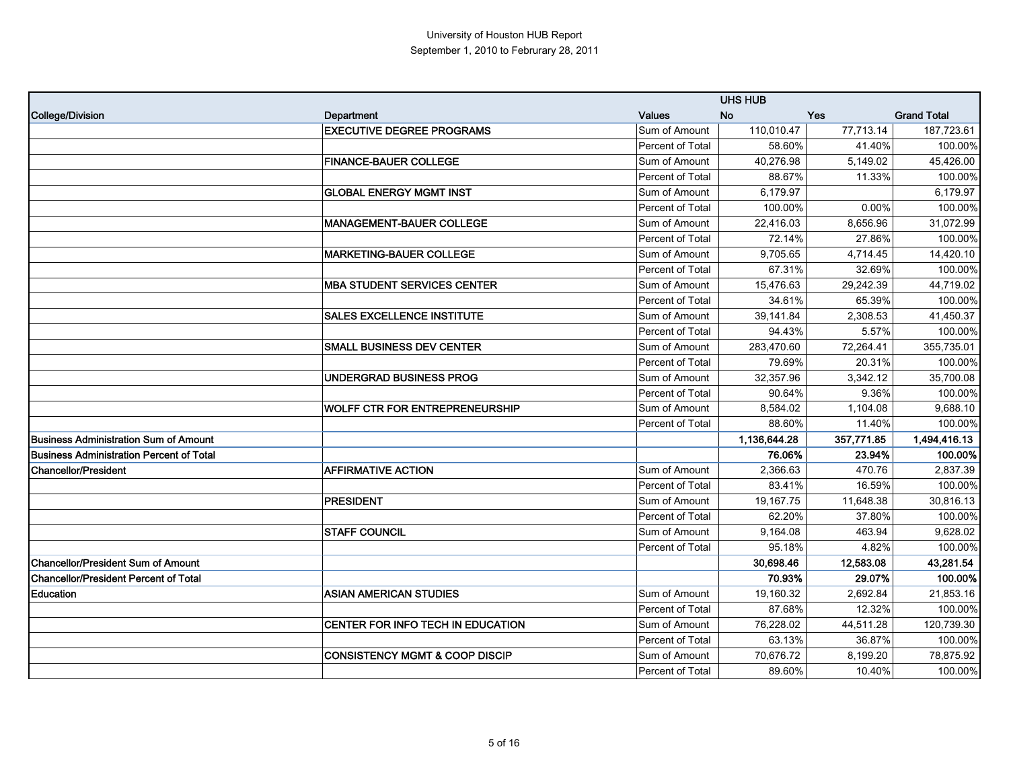|                                                 |                                           |                         | <b>UHS HUB</b> |            |                    |
|-------------------------------------------------|-------------------------------------------|-------------------------|----------------|------------|--------------------|
| <b>College/Division</b>                         | Department                                | <b>Values</b>           | <b>No</b>      | Yes        | <b>Grand Total</b> |
|                                                 | <b>EXECUTIVE DEGREE PROGRAMS</b>          | Sum of Amount           | 110,010.47     | 77,713.14  | 187,723.61         |
|                                                 |                                           | <b>Percent of Total</b> | 58.60%         | 41.40%     | 100.00%            |
|                                                 | <b>FINANCE-BAUER COLLEGE</b>              | Sum of Amount           | 40,276.98      | 5,149.02   | 45,426.00          |
|                                                 |                                           | <b>Percent of Total</b> | 88.67%         | 11.33%     | 100.00%            |
|                                                 | <b>GLOBAL ENERGY MGMT INST</b>            | Sum of Amount           | 6,179.97       |            | 6,179.97           |
|                                                 |                                           | Percent of Total        | 100.00%        | 0.00%      | 100.00%            |
|                                                 | <b>MANAGEMENT-BAUER COLLEGE</b>           | Sum of Amount           | 22,416.03      | 8,656.96   | 31,072.99          |
|                                                 |                                           | Percent of Total        | 72.14%         | 27.86%     | 100.00%            |
|                                                 | <b>MARKETING-BAUER COLLEGE</b>            | Sum of Amount           | 9,705.65       | 4,714.45   | 14,420.10          |
|                                                 |                                           | Percent of Total        | 67.31%         | 32.69%     | 100.00%            |
|                                                 | <b>MBA STUDENT SERVICES CENTER</b>        | Sum of Amount           | 15,476.63      | 29,242.39  | 44,719.02          |
|                                                 |                                           | Percent of Total        | 34.61%         | 65.39%     | 100.00%            |
|                                                 | <b>SALES EXCELLENCE INSTITUTE</b>         | Sum of Amount           | 39,141.84      | 2,308.53   | 41,450.37          |
|                                                 |                                           | <b>Percent of Total</b> | 94.43%         | 5.57%      | 100.00%            |
|                                                 | <b>SMALL BUSINESS DEV CENTER</b>          | Sum of Amount           | 283,470.60     | 72,264.41  | 355.735.01         |
|                                                 |                                           | Percent of Total        | 79.69%         | 20.31%     | 100.00%            |
|                                                 | UNDERGRAD BUSINESS PROG                   | Sum of Amount           | 32,357.96      | 3,342.12   | 35,700.08          |
|                                                 |                                           | Percent of Total        | 90.64%         | 9.36%      | 100.00%            |
|                                                 | <b>WOLFF CTR FOR ENTREPRENEURSHIP</b>     | Sum of Amount           | 8,584.02       | 1,104.08   | 9,688.10           |
|                                                 |                                           | Percent of Total        | 88.60%         | 11.40%     | 100.00%            |
| <b>Business Administration Sum of Amount</b>    |                                           |                         | 1,136,644.28   | 357,771.85 | 1,494,416.13       |
| <b>Business Administration Percent of Total</b> |                                           |                         | 76.06%         | 23.94%     | 100.00%            |
| <b>Chancellor/President</b>                     | <b>AFFIRMATIVE ACTION</b>                 | Sum of Amount           | 2,366.63       | 470.76     | 2,837.39           |
|                                                 |                                           | Percent of Total        | 83.41%         | 16.59%     | 100.00%            |
|                                                 | <b>PRESIDENT</b>                          | Sum of Amount           | 19,167.75      | 11,648.38  | 30,816.13          |
|                                                 |                                           | Percent of Total        | 62.20%         | 37.80%     | 100.00%            |
|                                                 | <b>STAFF COUNCIL</b>                      | Sum of Amount           | 9,164.08       | 463.94     | 9,628.02           |
|                                                 |                                           | Percent of Total        | 95.18%         | 4.82%      | 100.00%            |
| <b>Chancellor/President Sum of Amount</b>       |                                           |                         | 30,698.46      | 12,583.08  | 43,281.54          |
| <b>Chancellor/President Percent of Total</b>    |                                           |                         | 70.93%         | 29.07%     | 100.00%            |
| Education                                       | <b>ASIAN AMERICAN STUDIES</b>             | Sum of Amount           | 19,160.32      | 2.692.84   | 21.853.16          |
|                                                 |                                           | Percent of Total        | 87.68%         | 12.32%     | 100.00%            |
|                                                 | CENTER FOR INFO TECH IN EDUCATION         | Sum of Amount           | 76,228.02      | 44,511.28  | 120,739.30         |
|                                                 |                                           | Percent of Total        | 63.13%         | 36.87%     | 100.00%            |
|                                                 | <b>CONSISTENCY MGMT &amp; COOP DISCIP</b> | Sum of Amount           | 70,676.72      | 8,199.20   | 78,875.92          |
|                                                 |                                           | <b>Percent of Total</b> | 89.60%         | 10.40%     | 100.00%            |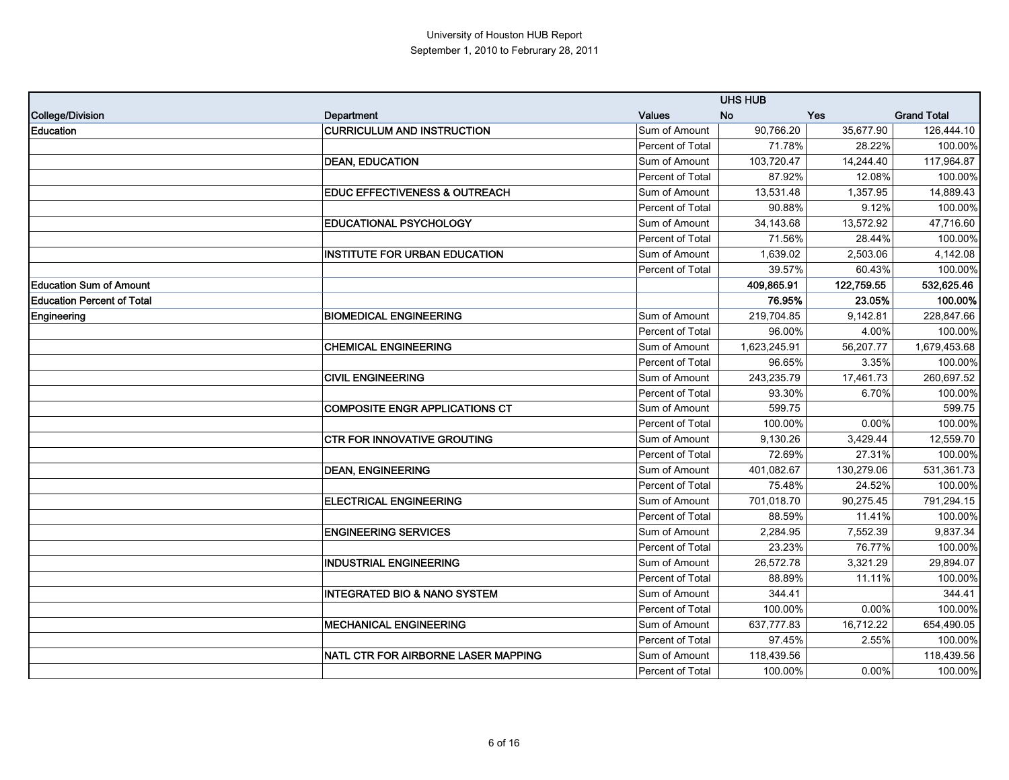|                                   |                                          |                         | <b>UHS HUB</b> |            |                    |
|-----------------------------------|------------------------------------------|-------------------------|----------------|------------|--------------------|
| <b>College/Division</b>           | Department                               | <b>Values</b>           | <b>No</b>      | Yes        | <b>Grand Total</b> |
| <b>Education</b>                  | <b>CURRICULUM AND INSTRUCTION</b>        | Sum of Amount           | 90,766.20      | 35,677.90  | 126,444.10         |
|                                   |                                          | Percent of Total        | 71.78%         | 28.22%     | 100.00%            |
|                                   | <b>DEAN, EDUCATION</b>                   | Sum of Amount           | 103,720.47     | 14,244.40  | 117,964.87         |
|                                   |                                          | Percent of Total        | 87.92%         | 12.08%     | 100.00%            |
|                                   | <b>EDUC EFFECTIVENESS &amp; OUTREACH</b> | Sum of Amount           | 13,531.48      | 1,357.95   | 14,889.43          |
|                                   |                                          | Percent of Total        | 90.88%         | 9.12%      | 100.00%            |
|                                   | <b>EDUCATIONAL PSYCHOLOGY</b>            | Sum of Amount           | 34,143.68      | 13,572.92  | 47,716.60          |
|                                   |                                          | Percent of Total        | 71.56%         | 28.44%     | 100.00%            |
|                                   | <b>INSTITUTE FOR URBAN EDUCATION</b>     | Sum of Amount           | 1,639.02       | 2,503.06   | 4,142.08           |
|                                   |                                          | Percent of Total        | 39.57%         | 60.43%     | 100.00%            |
| <b>Education Sum of Amount</b>    |                                          |                         | 409,865.91     | 122,759.55 | 532,625.46         |
| <b>Education Percent of Total</b> |                                          |                         | 76.95%         | 23.05%     | 100.00%            |
| Engineering                       | <b>BIOMEDICAL ENGINEERING</b>            | Sum of Amount           | 219,704.85     | 9,142.81   | 228,847.66         |
|                                   |                                          | <b>Percent of Total</b> | 96.00%         | 4.00%      | 100.00%            |
|                                   | <b>CHEMICAL ENGINEERING</b>              | Sum of Amount           | 1,623,245.91   | 56,207.77  | 1,679,453.68       |
|                                   |                                          | Percent of Total        | 96.65%         | 3.35%      | 100.00%            |
|                                   | <b>CIVIL ENGINEERING</b>                 | Sum of Amount           | 243,235.79     | 17,461.73  | 260,697.52         |
|                                   |                                          | Percent of Total        | 93.30%         | 6.70%      | 100.00%            |
|                                   | <b>COMPOSITE ENGR APPLICATIONS CT</b>    | Sum of Amount           | 599.75         |            | 599.75             |
|                                   |                                          | Percent of Total        | 100.00%        | 0.00%      | 100.00%            |
|                                   | <b>CTR FOR INNOVATIVE GROUTING</b>       | Sum of Amount           | 9,130.26       | 3,429.44   | 12,559.70          |
|                                   |                                          | Percent of Total        | 72.69%         | 27.31%     | 100.00%            |
|                                   | <b>DEAN, ENGINEERING</b>                 | Sum of Amount           | 401,082.67     | 130,279.06 | 531,361.73         |
|                                   |                                          | Percent of Total        | 75.48%         | 24.52%     | 100.00%            |
|                                   | <b>ELECTRICAL ENGINEERING</b>            | Sum of Amount           | 701,018.70     | 90,275.45  | 791,294.15         |
|                                   |                                          | Percent of Total        | 88.59%         | 11.41%     | 100.00%            |
|                                   | <b>ENGINEERING SERVICES</b>              | Sum of Amount           | 2,284.95       | 7,552.39   | 9,837.34           |
|                                   |                                          | Percent of Total        | 23.23%         | 76.77%     | 100.00%            |
|                                   | <b>INDUSTRIAL ENGINEERING</b>            | Sum of Amount           | 26,572.78      | 3,321.29   | 29,894.07          |
|                                   |                                          | Percent of Total        | 88.89%         | 11.11%     | 100.00%            |
|                                   | <b>INTEGRATED BIO &amp; NANO SYSTEM</b>  | Sum of Amount           | 344.41         |            | 344.41             |
|                                   |                                          | Percent of Total        | 100.00%        | 0.00%      | 100.00%            |
|                                   | <b>MECHANICAL ENGINEERING</b>            | Sum of Amount           | 637,777.83     | 16,712.22  | 654,490.05         |
|                                   |                                          | Percent of Total        | 97.45%         | 2.55%      | 100.00%            |
|                                   | NATL CTR FOR AIRBORNE LASER MAPPING      | Sum of Amount           | 118,439.56     |            | 118,439.56         |
|                                   |                                          | Percent of Total        | 100.00%        | 0.00%      | 100.00%            |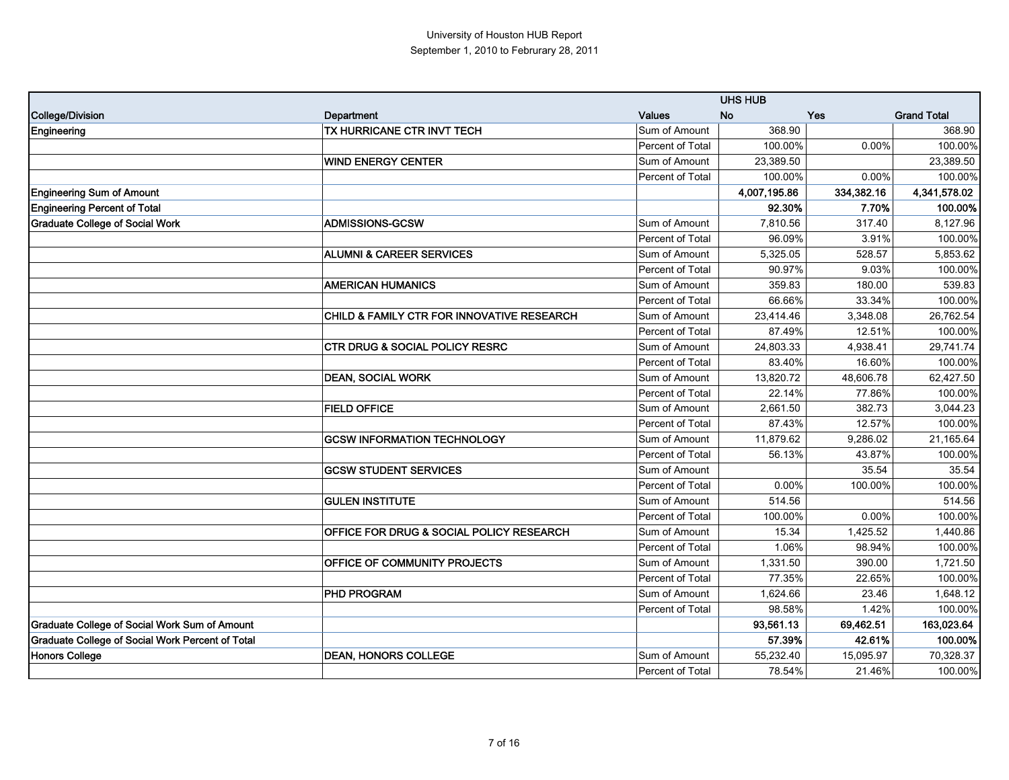|                                                  |                                                     |                  | <b>UHS HUB</b> |            |                    |
|--------------------------------------------------|-----------------------------------------------------|------------------|----------------|------------|--------------------|
| College/Division                                 | Department                                          | <b>Values</b>    | <b>No</b>      | Yes        | <b>Grand Total</b> |
| <b>Engineering</b>                               | TX HURRICANE CTR INVT TECH                          | Sum of Amount    | 368.90         |            | 368.90             |
|                                                  |                                                     | Percent of Total | 100.00%        | 0.00%      | 100.00%            |
|                                                  | <b>WIND ENERGY CENTER</b>                           | Sum of Amount    | 23,389.50      |            | 23,389.50          |
|                                                  |                                                     | Percent of Total | 100.00%        | 0.00%      | 100.00%            |
| <b>Engineering Sum of Amount</b>                 |                                                     |                  | 4,007,195.86   | 334,382.16 | 4,341,578.02       |
| <b>Engineering Percent of Total</b>              |                                                     |                  | 92.30%         | 7.70%      | 100.00%            |
| <b>Graduate College of Social Work</b>           | <b>ADMISSIONS-GCSW</b>                              | Sum of Amount    | 7,810.56       | 317.40     | 8,127.96           |
|                                                  |                                                     | Percent of Total | 96.09%         | 3.91%      | 100.00%            |
|                                                  | <b>ALUMNI &amp; CAREER SERVICES</b>                 | Sum of Amount    | 5,325.05       | 528.57     | 5,853.62           |
|                                                  |                                                     | Percent of Total | 90.97%         | 9.03%      | 100.00%            |
|                                                  | <b>AMERICAN HUMANICS</b>                            | Sum of Amount    | 359.83         | 180.00     | 539.83             |
|                                                  |                                                     | Percent of Total | 66.66%         | 33.34%     | 100.00%            |
|                                                  | CHILD & FAMILY CTR FOR INNOVATIVE RESEARCH          | Sum of Amount    | 23,414.46      | 3,348.08   | 26,762.54          |
|                                                  |                                                     | Percent of Total | 87.49%         | 12.51%     | 100.00%            |
|                                                  | <b>CTR DRUG &amp; SOCIAL POLICY RESRC</b>           | Sum of Amount    | 24,803.33      | 4,938.41   | 29,741.74          |
|                                                  |                                                     | Percent of Total | 83.40%         | 16.60%     | 100.00%            |
|                                                  | <b>DEAN, SOCIAL WORK</b>                            | Sum of Amount    | 13,820.72      | 48,606.78  | 62,427.50          |
|                                                  |                                                     | Percent of Total | 22.14%         | 77.86%     | 100.00%            |
|                                                  | <b>FIELD OFFICE</b>                                 | Sum of Amount    | 2,661.50       | 382.73     | 3,044.23           |
|                                                  |                                                     | Percent of Total | 87.43%         | 12.57%     | 100.00%            |
|                                                  | <b>GCSW INFORMATION TECHNOLOGY</b>                  | Sum of Amount    | 11,879.62      | 9,286.02   | 21,165.64          |
|                                                  |                                                     | Percent of Total | 56.13%         | 43.87%     | 100.00%            |
|                                                  | <b>GCSW STUDENT SERVICES</b>                        | Sum of Amount    |                | 35.54      | 35.54              |
|                                                  |                                                     | Percent of Total | 0.00%          | 100.00%    | 100.00%            |
|                                                  | <b>GULEN INSTITUTE</b>                              | Sum of Amount    | 514.56         |            | 514.56             |
|                                                  |                                                     | Percent of Total | 100.00%        | 0.00%      | 100.00%            |
|                                                  | <b>OFFICE FOR DRUG &amp; SOCIAL POLICY RESEARCH</b> | Sum of Amount    | 15.34          | 1,425.52   | 1,440.86           |
|                                                  |                                                     | Percent of Total | 1.06%          | 98.94%     | 100.00%            |
|                                                  | OFFICE OF COMMUNITY PROJECTS                        | Sum of Amount    | 1,331.50       | 390.00     | 1,721.50           |
|                                                  |                                                     | Percent of Total | 77.35%         | 22.65%     | 100.00%            |
|                                                  | <b>PHD PROGRAM</b>                                  | Sum of Amount    | 1,624.66       | 23.46      | 1,648.12           |
|                                                  |                                                     | Percent of Total | 98.58%         | 1.42%      | 100.00%            |
| Graduate College of Social Work Sum of Amount    |                                                     |                  | 93,561.13      | 69,462.51  | 163,023.64         |
| Graduate College of Social Work Percent of Total |                                                     |                  | 57.39%         | 42.61%     | 100.00%            |
| <b>Honors College</b>                            | <b>DEAN, HONORS COLLEGE</b>                         | Sum of Amount    | 55,232.40      | 15,095.97  | 70,328.37          |
|                                                  |                                                     | Percent of Total | 78.54%         | 21.46%     | 100.00%            |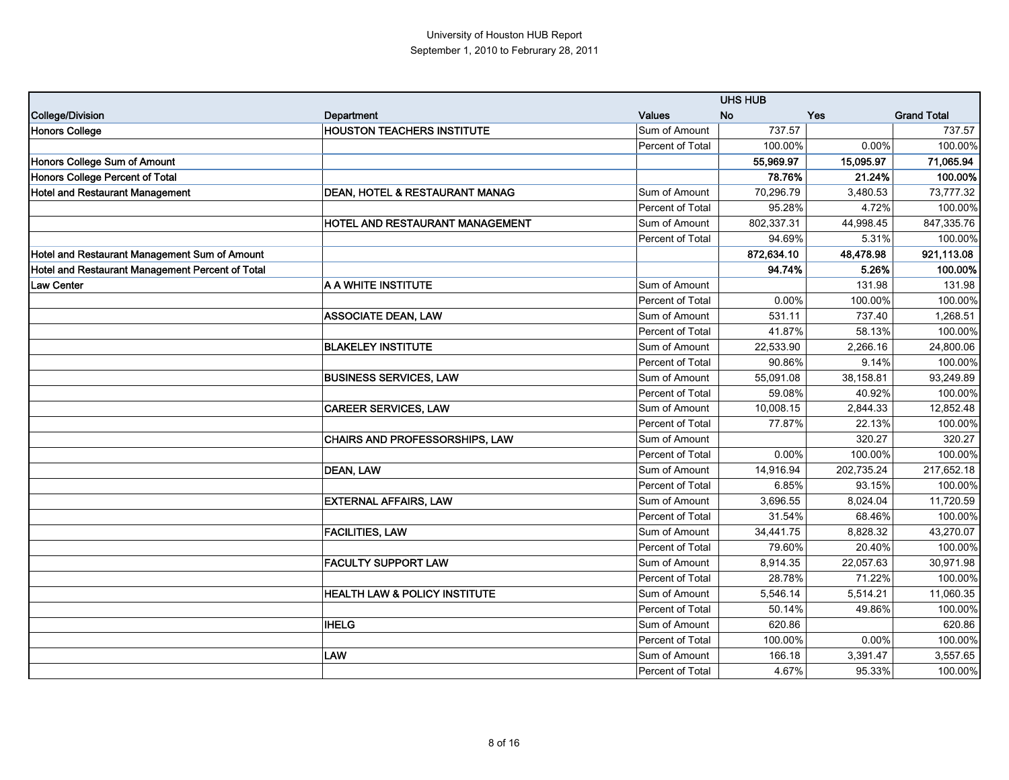|                                                  |                                           |                  | <b>UHS HUB</b> |            |                    |
|--------------------------------------------------|-------------------------------------------|------------------|----------------|------------|--------------------|
| <b>College/Division</b>                          | Department                                | <b>Values</b>    | <b>No</b>      | Yes        | <b>Grand Total</b> |
| <b>Honors College</b>                            | <b>HOUSTON TEACHERS INSTITUTE</b>         | Sum of Amount    | 737.57         |            | 737.57             |
|                                                  |                                           | Percent of Total | 100.00%        | 0.00%      | 100.00%            |
| Honors College Sum of Amount                     |                                           |                  | 55,969.97      | 15,095.97  | 71,065.94          |
| Honors College Percent of Total                  |                                           |                  | 78.76%         | 21.24%     | 100.00%            |
| <b>Hotel and Restaurant Management</b>           | <b>DEAN, HOTEL &amp; RESTAURANT MANAG</b> | Sum of Amount    | 70,296.79      | 3,480.53   | 73,777.32          |
|                                                  |                                           | Percent of Total | 95.28%         | 4.72%      | 100.00%            |
|                                                  | <b>HOTEL AND RESTAURANT MANAGEMENT</b>    | Sum of Amount    | 802,337.31     | 44,998.45  | 847,335.76         |
|                                                  |                                           | Percent of Total | 94.69%         | 5.31%      | 100.00%            |
| Hotel and Restaurant Management Sum of Amount    |                                           |                  | 872,634.10     | 48,478.98  | 921,113.08         |
| Hotel and Restaurant Management Percent of Total |                                           |                  | 94.74%         | 5.26%      | 100.00%            |
| <b>Law Center</b>                                | A A WHITE INSTITUTE                       | Sum of Amount    |                | 131.98     | 131.98             |
|                                                  |                                           | Percent of Total | 0.00%          | 100.00%    | 100.00%            |
|                                                  | <b>ASSOCIATE DEAN, LAW</b>                | Sum of Amount    | 531.11         | 737.40     | 1,268.51           |
|                                                  |                                           | Percent of Total | 41.87%         | 58.13%     | 100.00%            |
|                                                  | <b>BLAKELEY INSTITUTE</b>                 | Sum of Amount    | 22,533.90      | 2,266.16   | 24,800.06          |
|                                                  |                                           | Percent of Total | 90.86%         | 9.14%      | 100.00%            |
|                                                  | <b>BUSINESS SERVICES, LAW</b>             | Sum of Amount    | 55,091.08      | 38,158.81  | 93,249.89          |
|                                                  |                                           | Percent of Total | 59.08%         | 40.92%     | 100.00%            |
|                                                  | <b>CAREER SERVICES, LAW</b>               | Sum of Amount    | 10,008.15      | 2,844.33   | 12,852.48          |
|                                                  |                                           | Percent of Total | 77.87%         | 22.13%     | 100.00%            |
|                                                  | CHAIRS AND PROFESSORSHIPS, LAW            | Sum of Amount    |                | 320.27     | 320.27             |
|                                                  |                                           | Percent of Total | 0.00%          | 100.00%    | 100.00%            |
|                                                  | <b>DEAN, LAW</b>                          | Sum of Amount    | 14,916.94      | 202,735.24 | 217,652.18         |
|                                                  |                                           | Percent of Total | 6.85%          | 93.15%     | 100.00%            |
|                                                  | <b>EXTERNAL AFFAIRS, LAW</b>              | Sum of Amount    | 3,696.55       | 8,024.04   | 11,720.59          |
|                                                  |                                           | Percent of Total | 31.54%         | 68.46%     | 100.00%            |
|                                                  | <b>FACILITIES, LAW</b>                    | Sum of Amount    | 34,441.75      | 8,828.32   | 43,270.07          |
|                                                  |                                           | Percent of Total | 79.60%         | 20.40%     | 100.00%            |
|                                                  | <b>FACULTY SUPPORT LAW</b>                | Sum of Amount    | 8,914.35       | 22,057.63  | 30,971.98          |
|                                                  |                                           | Percent of Total | 28.78%         | 71.22%     | 100.00%            |
|                                                  | <b>HEALTH LAW &amp; POLICY INSTITUTE</b>  | Sum of Amount    | 5,546.14       | 5,514.21   | 11,060.35          |
|                                                  |                                           | Percent of Total | 50.14%         | 49.86%     | 100.00%            |
|                                                  | <b>IHELG</b>                              | Sum of Amount    | 620.86         |            | 620.86             |
|                                                  |                                           | Percent of Total | 100.00%        | 0.00%      | 100.00%            |
|                                                  | LAW                                       | Sum of Amount    | 166.18         | 3,391.47   | 3,557.65           |
|                                                  |                                           | Percent of Total | 4.67%          | 95.33%     | 100.00%            |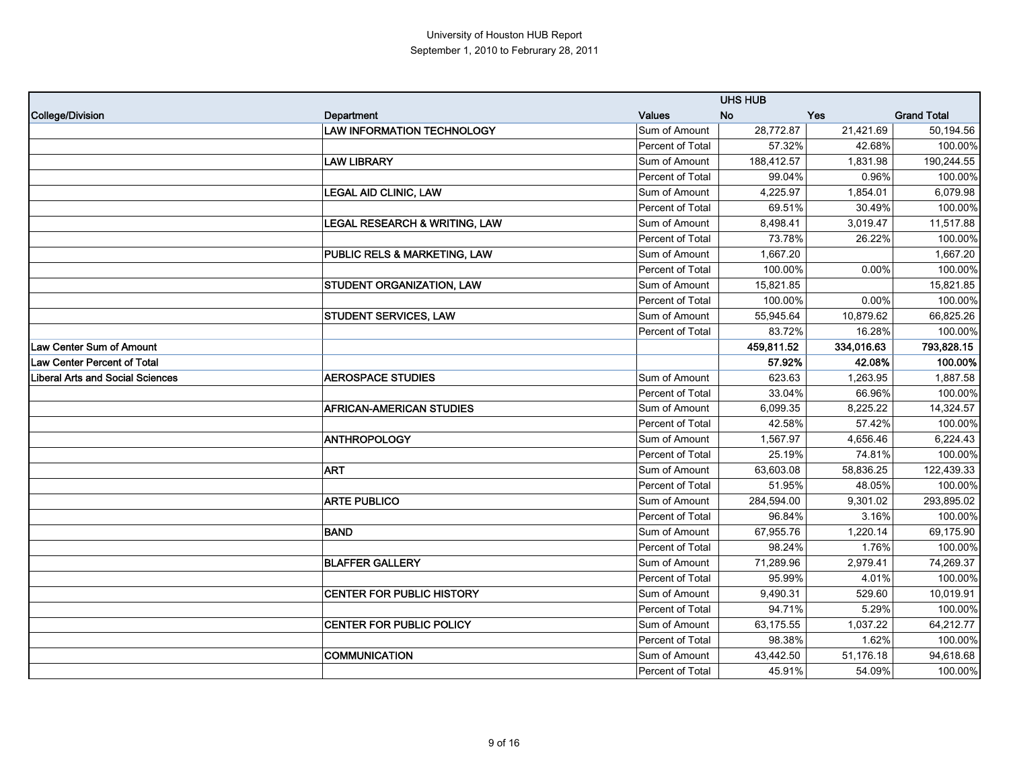|                                         |                                          |                  | <b>UHS HUB</b> |            |                    |
|-----------------------------------------|------------------------------------------|------------------|----------------|------------|--------------------|
| <b>College/Division</b>                 | Department                               | <b>Values</b>    | <b>No</b>      | <b>Yes</b> | <b>Grand Total</b> |
|                                         | <b>LAW INFORMATION TECHNOLOGY</b>        | Sum of Amount    | 28,772.87      | 21,421.69  | 50,194.56          |
|                                         |                                          | Percent of Total | 57.32%         | 42.68%     | 100.00%            |
|                                         | <b>LAW LIBRARY</b>                       | Sum of Amount    | 188,412.57     | 1,831.98   | 190,244.55         |
|                                         |                                          | Percent of Total | 99.04%         | 0.96%      | 100.00%            |
|                                         | <b>LEGAL AID CLINIC, LAW</b>             | Sum of Amount    | 4,225.97       | 1,854.01   | 6,079.98           |
|                                         |                                          | Percent of Total | 69.51%         | 30.49%     | 100.00%            |
|                                         | <b>LEGAL RESEARCH &amp; WRITING, LAW</b> | Sum of Amount    | 8,498.41       | 3,019.47   | 11,517.88          |
|                                         |                                          | Percent of Total | 73.78%         | 26.22%     | 100.00%            |
|                                         | <b>PUBLIC RELS &amp; MARKETING, LAW</b>  | Sum of Amount    | 1,667.20       |            | 1,667.20           |
|                                         |                                          | Percent of Total | 100.00%        | 0.00%      | 100.00%            |
|                                         | <b>STUDENT ORGANIZATION, LAW</b>         | Sum of Amount    | 15,821.85      |            | 15,821.85          |
|                                         |                                          | Percent of Total | 100.00%        | 0.00%      | 100.00%            |
|                                         | <b>STUDENT SERVICES, LAW</b>             | Sum of Amount    | 55,945.64      | 10,879.62  | 66,825.26          |
|                                         |                                          | Percent of Total | 83.72%         | 16.28%     | 100.00%            |
| <b>Law Center Sum of Amount</b>         |                                          |                  | 459,811.52     | 334,016.63 | 793,828.15         |
| Law Center Percent of Total             |                                          |                  | 57.92%         | 42.08%     | 100.00%            |
| <b>Liberal Arts and Social Sciences</b> | <b>AEROSPACE STUDIES</b>                 | Sum of Amount    | 623.63         | 1,263.95   | 1,887.58           |
|                                         |                                          | Percent of Total | 33.04%         | 66.96%     | 100.00%            |
|                                         | <b>AFRICAN-AMERICAN STUDIES</b>          | Sum of Amount    | 6,099.35       | 8,225.22   | 14,324.57          |
|                                         |                                          | Percent of Total | 42.58%         | 57.42%     | 100.00%            |
|                                         | <b>ANTHROPOLOGY</b>                      | Sum of Amount    | 1,567.97       | 4,656.46   | 6,224.43           |
|                                         |                                          | Percent of Total | 25.19%         | 74.81%     | 100.00%            |
|                                         | <b>ART</b>                               | Sum of Amount    | 63,603.08      | 58,836.25  | 122,439.33         |
|                                         |                                          | Percent of Total | 51.95%         | 48.05%     | 100.00%            |
|                                         | <b>ARTE PUBLICO</b>                      | Sum of Amount    | 284,594.00     | 9,301.02   | 293,895.02         |
|                                         |                                          | Percent of Total | 96.84%         | 3.16%      | 100.00%            |
|                                         | <b>BAND</b>                              | Sum of Amount    | 67,955.76      | 1,220.14   | 69,175.90          |
|                                         |                                          | Percent of Total | 98.24%         | 1.76%      | 100.00%            |
|                                         | <b>BLAFFER GALLERY</b>                   | Sum of Amount    | 71,289.96      | 2,979.41   | 74,269.37          |
|                                         |                                          | Percent of Total | 95.99%         | 4.01%      | 100.00%            |
|                                         | <b>CENTER FOR PUBLIC HISTORY</b>         | Sum of Amount    | 9,490.31       | 529.60     | 10,019.91          |
|                                         |                                          | Percent of Total | 94.71%         | 5.29%      | 100.00%            |
|                                         | CENTER FOR PUBLIC POLICY                 | Sum of Amount    | 63,175.55      | 1,037.22   | 64,212.77          |
|                                         |                                          | Percent of Total | 98.38%         | 1.62%      | 100.00%            |
|                                         | COMMUNICATION                            | Sum of Amount    | 43,442.50      | 51,176.18  | 94,618.68          |
|                                         |                                          | Percent of Total | 45.91%         | 54.09%     | 100.00%            |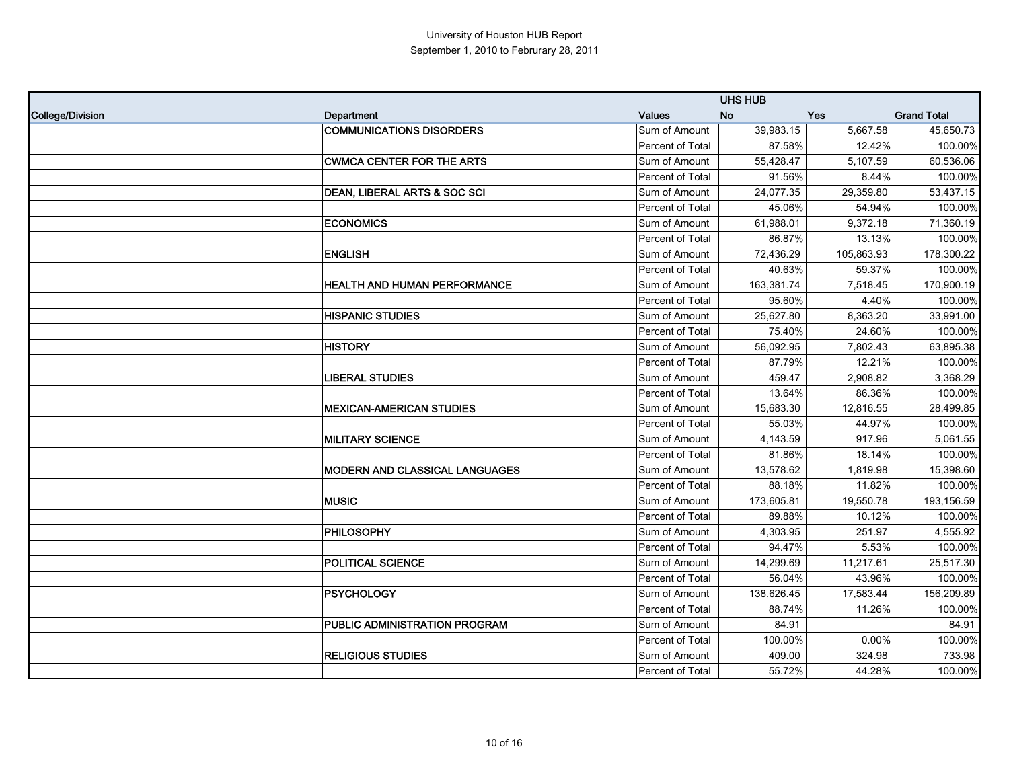|                         |                                  |                         | <b>UHS HUB</b> |            |                    |
|-------------------------|----------------------------------|-------------------------|----------------|------------|--------------------|
| <b>College/Division</b> | Department                       | <b>Values</b>           | <b>No</b>      | Yes        | <b>Grand Total</b> |
|                         | <b>COMMUNICATIONS DISORDERS</b>  | Sum of Amount           | 39,983.15      | 5,667.58   | 45,650.73          |
|                         |                                  | Percent of Total        | 87.58%         | 12.42%     | 100.00%            |
|                         | <b>CWMCA CENTER FOR THE ARTS</b> | Sum of Amount           | 55,428.47      | 5,107.59   | 60,536.06          |
|                         |                                  | Percent of Total        | 91.56%         | 8.44%      | 100.00%            |
|                         | DEAN, LIBERAL ARTS & SOC SCI     | Sum of Amount           | 24,077.35      | 29,359.80  | 53,437.15          |
|                         |                                  | Percent of Total        | 45.06%         | 54.94%     | 100.00%            |
|                         | <b>ECONOMICS</b>                 | Sum of Amount           | 61,988.01      | 9,372.18   | 71,360.19          |
|                         |                                  | Percent of Total        | 86.87%         | 13.13%     | 100.00%            |
|                         | <b>ENGLISH</b>                   | Sum of Amount           | 72,436.29      | 105,863.93 | 178,300.22         |
|                         |                                  | Percent of Total        | 40.63%         | 59.37%     | 100.00%            |
|                         | HEALTH AND HUMAN PERFORMANCE     | Sum of Amount           | 163,381.74     | 7,518.45   | 170,900.19         |
|                         |                                  | Percent of Total        | 95.60%         | 4.40%      | 100.00%            |
|                         | <b>HISPANIC STUDIES</b>          | Sum of Amount           | 25,627.80      | 8,363.20   | 33,991.00          |
|                         |                                  | Percent of Total        | 75.40%         | 24.60%     | 100.00%            |
|                         | <b>HISTORY</b>                   | Sum of Amount           | 56,092.95      | 7.802.43   | 63,895.38          |
|                         |                                  | Percent of Total        | 87.79%         | 12.21%     | 100.00%            |
|                         | <b>LIBERAL STUDIES</b>           | Sum of Amount           | 459.47         | 2,908.82   | 3,368.29           |
|                         |                                  | Percent of Total        | 13.64%         | 86.36%     | 100.00%            |
|                         | <b>MEXICAN-AMERICAN STUDIES</b>  | Sum of Amount           | 15,683.30      | 12,816.55  | 28,499.85          |
|                         |                                  | <b>Percent of Total</b> | 55.03%         | 44.97%     | 100.00%            |
|                         | <b>MILITARY SCIENCE</b>          | Sum of Amount           | 4,143.59       | 917.96     | 5,061.55           |
|                         |                                  | Percent of Total        | 81.86%         | 18.14%     | 100.00%            |
|                         | MODERN AND CLASSICAL LANGUAGES   | Sum of Amount           | 13,578.62      | 1,819.98   | 15,398.60          |
|                         |                                  | Percent of Total        | 88.18%         | 11.82%     | 100.00%            |
|                         | <b>MUSIC</b>                     | Sum of Amount           | 173,605.81     | 19,550.78  | 193,156.59         |
|                         |                                  | Percent of Total        | 89.88%         | 10.12%     | 100.00%            |
|                         | <b>PHILOSOPHY</b>                | Sum of Amount           | 4,303.95       | 251.97     | 4,555.92           |
|                         |                                  | Percent of Total        | 94.47%         | 5.53%      | 100.00%            |
|                         | POLITICAL SCIENCE                | Sum of Amount           | 14,299.69      | 11,217.61  | 25,517.30          |
|                         |                                  | Percent of Total        | 56.04%         | 43.96%     | 100.00%            |
|                         | <b>PSYCHOLOGY</b>                | Sum of Amount           | 138,626.45     | 17,583.44  | 156,209.89         |
|                         |                                  | Percent of Total        | 88.74%         | 11.26%     | 100.00%            |
|                         | PUBLIC ADMINISTRATION PROGRAM    | Sum of Amount           | 84.91          |            | 84.91              |
|                         |                                  | <b>Percent of Total</b> | 100.00%        | 0.00%      | 100.00%            |
|                         | <b>RELIGIOUS STUDIES</b>         | Sum of Amount           | 409.00         | 324.98     | 733.98             |
|                         |                                  | Percent of Total        | 55.72%         | 44.28%     | 100.00%            |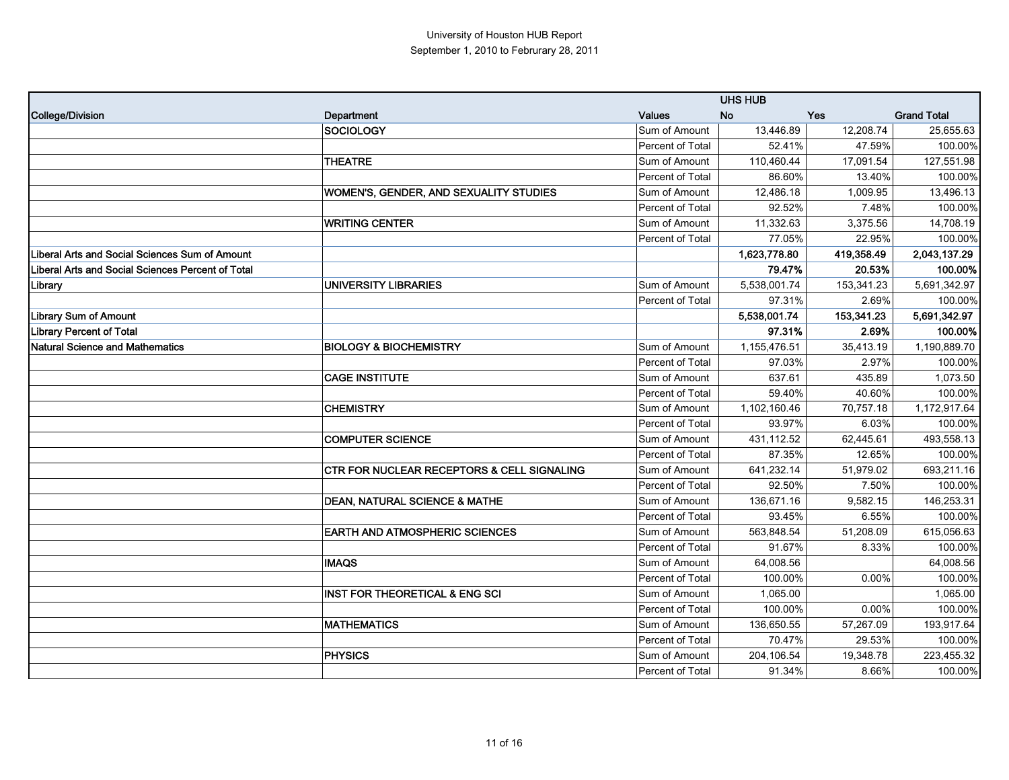|                                                   |                                            |                         | <b>UHS HUB</b> |            |                    |
|---------------------------------------------------|--------------------------------------------|-------------------------|----------------|------------|--------------------|
| <b>College/Division</b>                           | Department                                 | <b>Values</b>           | <b>No</b>      | Yes        | <b>Grand Total</b> |
|                                                   | SOCIOLOGY                                  | Sum of Amount           | 13,446.89      | 12,208.74  | 25,655.63          |
|                                                   |                                            | <b>Percent of Total</b> | 52.41%         | 47.59%     | 100.00%            |
|                                                   | <b>THEATRE</b>                             | Sum of Amount           | 110,460.44     | 17,091.54  | 127,551.98         |
|                                                   |                                            | Percent of Total        | 86.60%         | 13.40%     | 100.00%            |
|                                                   | WOMEN'S, GENDER, AND SEXUALITY STUDIES     | Sum of Amount           | 12,486.18      | 1,009.95   | 13,496.13          |
|                                                   |                                            | <b>Percent of Total</b> | 92.52%         | 7.48%      | 100.00%            |
|                                                   | <b>WRITING CENTER</b>                      | Sum of Amount           | 11,332.63      | 3,375.56   | 14,708.19          |
|                                                   |                                            | <b>Percent of Total</b> | 77.05%         | 22.95%     | 100.00%            |
| Liberal Arts and Social Sciences Sum of Amount    |                                            |                         | 1,623,778.80   | 419,358.49 | 2,043,137.29       |
| Liberal Arts and Social Sciences Percent of Total |                                            |                         | 79.47%         | 20.53%     | 100.00%            |
| Library                                           | <b>UNIVERSITY LIBRARIES</b>                | Sum of Amount           | 5,538,001.74   | 153,341.23 | 5,691,342.97       |
|                                                   |                                            | Percent of Total        | 97.31%         | 2.69%      | 100.00%            |
| <b>Library Sum of Amount</b>                      |                                            |                         | 5,538,001.74   | 153,341.23 | 5,691,342.97       |
| <b>Library Percent of Total</b>                   |                                            |                         | 97.31%         | 2.69%      | 100.00%            |
| <b>Natural Science and Mathematics</b>            | <b>BIOLOGY &amp; BIOCHEMISTRY</b>          | Sum of Amount           | 1,155,476.51   | 35,413.19  | 1,190,889.70       |
|                                                   |                                            | Percent of Total        | 97.03%         | 2.97%      | 100.00%            |
|                                                   | <b>CAGE INSTITUTE</b>                      | Sum of Amount           | 637.61         | 435.89     | 1,073.50           |
|                                                   |                                            | <b>Percent of Total</b> | 59.40%         | 40.60%     | 100.00%            |
|                                                   | <b>CHEMISTRY</b>                           | Sum of Amount           | 1,102,160.46   | 70,757.18  | 1,172,917.64       |
|                                                   |                                            | <b>Percent of Total</b> | 93.97%         | 6.03%      | 100.00%            |
|                                                   | <b>COMPUTER SCIENCE</b>                    | Sum of Amount           | 431,112.52     | 62,445.61  | 493,558.13         |
|                                                   |                                            | Percent of Total        | 87.35%         | 12.65%     | 100.00%            |
|                                                   | CTR FOR NUCLEAR RECEPTORS & CELL SIGNALING | Sum of Amount           | 641,232.14     | 51,979.02  | 693,211.16         |
|                                                   |                                            | Percent of Total        | 92.50%         | 7.50%      | 100.00%            |
|                                                   | <b>DEAN, NATURAL SCIENCE &amp; MATHE</b>   | Sum of Amount           | 136,671.16     | 9,582.15   | 146,253.31         |
|                                                   |                                            | <b>Percent of Total</b> | 93.45%         | 6.55%      | 100.00%            |
|                                                   | <b>EARTH AND ATMOSPHERIC SCIENCES</b>      | Sum of Amount           | 563,848.54     | 51,208.09  | 615,056.63         |
|                                                   |                                            | Percent of Total        | 91.67%         | 8.33%      | 100.00%            |
|                                                   | <b>IMAQS</b>                               | Sum of Amount           | 64,008.56      |            | 64,008.56          |
|                                                   |                                            | Percent of Total        | 100.00%        | 0.00%      | 100.00%            |
|                                                   | <b>INST FOR THEORETICAL &amp; ENG SCI</b>  | Sum of Amount           | 1,065.00       |            | 1,065.00           |
|                                                   |                                            | Percent of Total        | 100.00%        | 0.00%      | 100.00%            |
|                                                   | <b>MATHEMATICS</b>                         | Sum of Amount           | 136,650.55     | 57,267.09  | 193,917.64         |
|                                                   |                                            | Percent of Total        | 70.47%         | 29.53%     | 100.00%            |
|                                                   | PHYSICS                                    | Sum of Amount           | 204,106.54     | 19,348.78  | 223,455.32         |
|                                                   |                                            | <b>Percent of Total</b> | 91.34%         | 8.66%      | 100.00%            |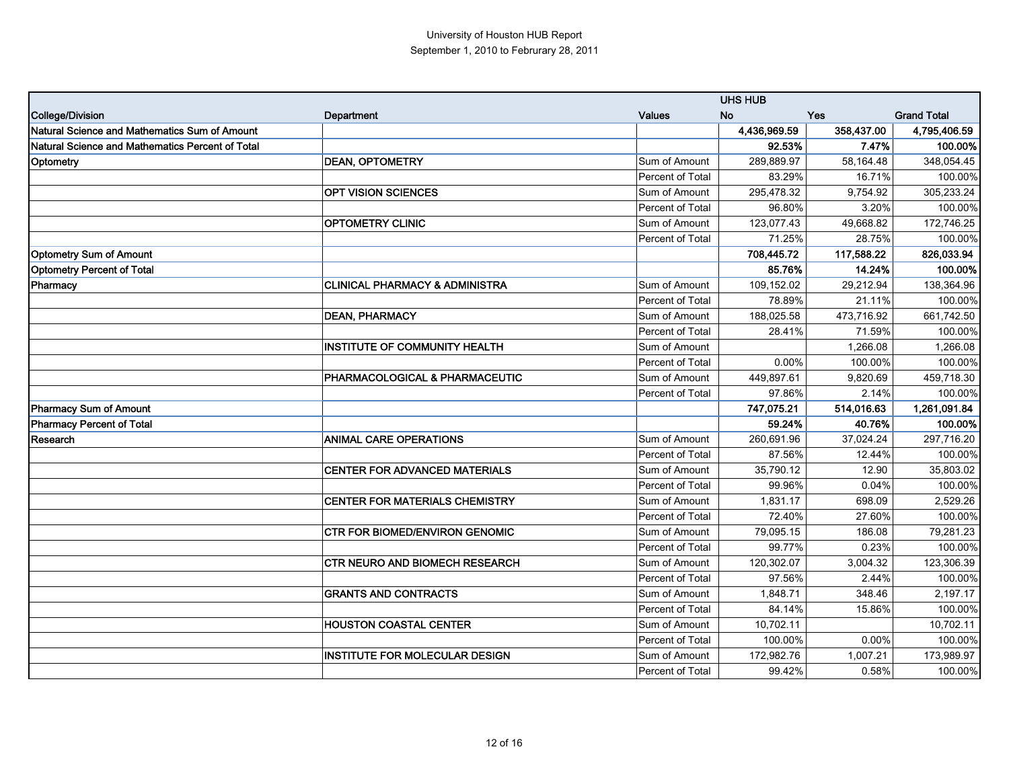|                                                  |                                           |                         | <b>UHS HUB</b> |            |                    |
|--------------------------------------------------|-------------------------------------------|-------------------------|----------------|------------|--------------------|
| College/Division                                 | Department                                | <b>Values</b>           | <b>No</b>      | <b>Yes</b> | <b>Grand Total</b> |
| Natural Science and Mathematics Sum of Amount    |                                           |                         | 4,436,969.59   | 358,437.00 | 4,795,406.59       |
| Natural Science and Mathematics Percent of Total |                                           |                         | 92.53%         | 7.47%      | 100.00%            |
| Optometry                                        | <b>DEAN, OPTOMETRY</b>                    | Sum of Amount           | 289,889.97     | 58,164.48  | 348,054.45         |
|                                                  |                                           | <b>Percent of Total</b> | 83.29%         | 16.71%     | 100.00%            |
|                                                  | <b>OPT VISION SCIENCES</b>                | Sum of Amount           | 295,478.32     | 9,754.92   | 305,233.24         |
|                                                  |                                           | Percent of Total        | 96.80%         | 3.20%      | 100.00%            |
|                                                  | <b>OPTOMETRY CLINIC</b>                   | Sum of Amount           | 123,077.43     | 49,668.82  | 172,746.25         |
|                                                  |                                           | Percent of Total        | 71.25%         | 28.75%     | 100.00%            |
| Optometry Sum of Amount                          |                                           |                         | 708,445.72     | 117,588.22 | 826,033.94         |
| <b>Optometry Percent of Total</b>                |                                           |                         | 85.76%         | 14.24%     | 100.00%            |
| Pharmacy                                         | <b>CLINICAL PHARMACY &amp; ADMINISTRA</b> | Sum of Amount           | 109,152.02     | 29,212.94  | 138,364.96         |
|                                                  |                                           | Percent of Total        | 78.89%         | 21.11%     | 100.00%            |
|                                                  | <b>DEAN, PHARMACY</b>                     | Sum of Amount           | 188.025.58     | 473,716.92 | 661,742.50         |
|                                                  |                                           | Percent of Total        | 28.41%         | 71.59%     | 100.00%            |
|                                                  | <b>INSTITUTE OF COMMUNITY HEALTH</b>      | Sum of Amount           |                | 1.266.08   | 1,266.08           |
|                                                  |                                           | Percent of Total        | 0.00%          | 100.00%    | 100.00%            |
|                                                  | PHARMACOLOGICAL & PHARMACEUTIC            | Sum of Amount           | 449,897.61     | 9,820.69   | 459,718.30         |
|                                                  |                                           | Percent of Total        | 97.86%         | 2.14%      | 100.00%            |
| <b>Pharmacy Sum of Amount</b>                    |                                           |                         | 747,075.21     | 514,016.63 | 1,261,091.84       |
| <b>Pharmacy Percent of Total</b>                 |                                           |                         | 59.24%         | 40.76%     | 100.00%            |
| Research                                         | <b>ANIMAL CARE OPERATIONS</b>             | Sum of Amount           | 260,691.96     | 37,024.24  | 297,716.20         |
|                                                  |                                           | Percent of Total        | 87.56%         | 12.44%     | 100.00%            |
|                                                  | CENTER FOR ADVANCED MATERIALS             | Sum of Amount           | 35,790.12      | 12.90      | 35,803.02          |
|                                                  |                                           | Percent of Total        | 99.96%         | 0.04%      | 100.00%            |
|                                                  | CENTER FOR MATERIALS CHEMISTRY            | Sum of Amount           | 1,831.17       | 698.09     | 2,529.26           |
|                                                  |                                           | Percent of Total        | 72.40%         | 27.60%     | 100.00%            |
|                                                  | <b>CTR FOR BIOMED/ENVIRON GENOMIC</b>     | Sum of Amount           | 79,095.15      | 186.08     | 79,281.23          |
|                                                  |                                           | Percent of Total        | 99.77%         | 0.23%      | 100.00%            |
|                                                  | <b>CTR NEURO AND BIOMECH RESEARCH</b>     | Sum of Amount           | 120,302.07     | 3,004.32   | 123,306.39         |
|                                                  |                                           | Percent of Total        | 97.56%         | 2.44%      | 100.00%            |
|                                                  | <b>GRANTS AND CONTRACTS</b>               | Sum of Amount           | 1,848.71       | 348.46     | 2,197.17           |
|                                                  |                                           | Percent of Total        | 84.14%         | 15.86%     | 100.00%            |
|                                                  | <b>HOUSTON COASTAL CENTER</b>             | Sum of Amount           | 10,702.11      |            | 10,702.11          |
|                                                  |                                           | Percent of Total        | 100.00%        | 0.00%      | 100.00%            |
|                                                  | <b>INSTITUTE FOR MOLECULAR DESIGN</b>     | Sum of Amount           | 172,982.76     | 1,007.21   | 173,989.97         |
|                                                  |                                           | Percent of Total        | 99.42%         | 0.58%      | 100.00%            |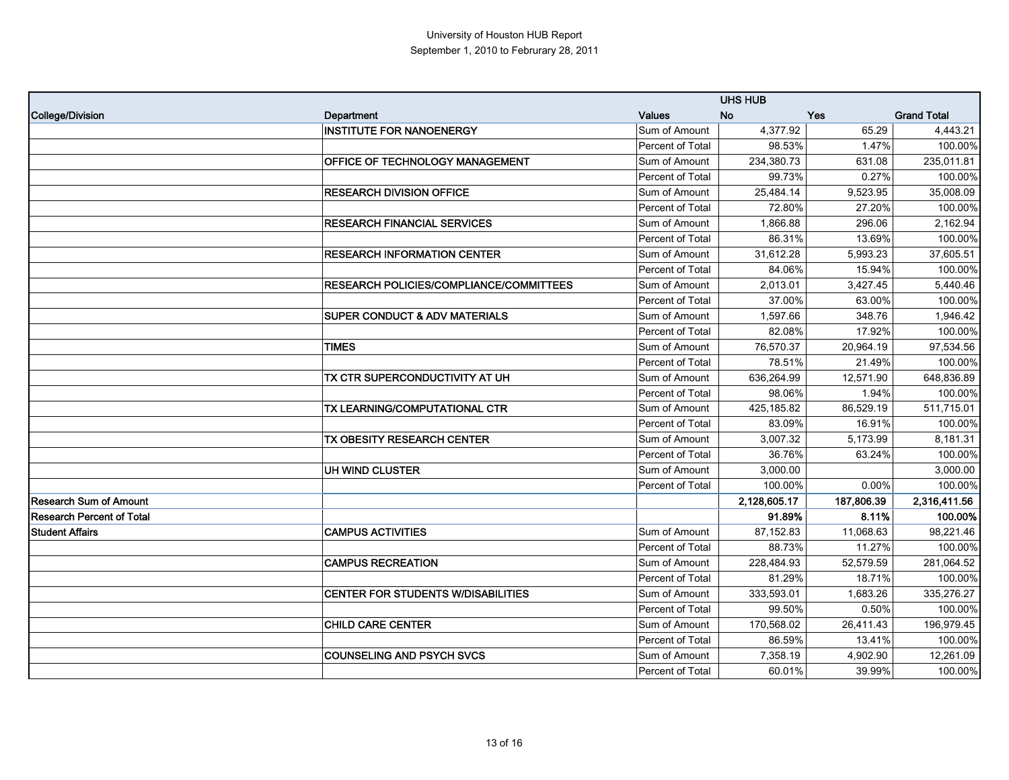|                                  | <b>UHS HUB</b>                                 |                         |              |            |                    |
|----------------------------------|------------------------------------------------|-------------------------|--------------|------------|--------------------|
| <b>College/Division</b>          | Department                                     | <b>Values</b>           | <b>No</b>    | Yes        | <b>Grand Total</b> |
|                                  | <b>INSTITUTE FOR NANOENERGY</b>                | Sum of Amount           | 4,377.92     | 65.29      | 4,443.21           |
|                                  |                                                | Percent of Total        | 98.53%       | 1.47%      | 100.00%            |
|                                  | OFFICE OF TECHNOLOGY MANAGEMENT                | Sum of Amount           | 234,380.73   | 631.08     | 235,011.81         |
|                                  |                                                | <b>Percent of Total</b> | 99.73%       | 0.27%      | 100.00%            |
|                                  | <b>RESEARCH DIVISION OFFICE</b>                | Sum of Amount           | 25,484.14    | 9,523.95   | 35,008.09          |
|                                  |                                                | <b>Percent of Total</b> | 72.80%       | 27.20%     | 100.00%            |
|                                  | <b>RESEARCH FINANCIAL SERVICES</b>             | Sum of Amount           | 1,866.88     | 296.06     | 2,162.94           |
|                                  |                                                | Percent of Total        | 86.31%       | 13.69%     | 100.00%            |
|                                  | <b>RESEARCH INFORMATION CENTER</b>             | Sum of Amount           | 31,612.28    | 5,993.23   | 37,605.51          |
|                                  |                                                | <b>Percent of Total</b> | 84.06%       | 15.94%     | 100.00%            |
|                                  | <b>RESEARCH POLICIES/COMPLIANCE/COMMITTEES</b> | Sum of Amount           | 2,013.01     | 3,427.45   | 5,440.46           |
|                                  |                                                | Percent of Total        | 37.00%       | 63.00%     | 100.00%            |
|                                  | <b>SUPER CONDUCT &amp; ADV MATERIALS</b>       | Sum of Amount           | 1,597.66     | 348.76     | 1,946.42           |
|                                  |                                                | Percent of Total        | 82.08%       | 17.92%     | 100.00%            |
|                                  | <b>TIMES</b>                                   | Sum of Amount           | 76.570.37    | 20,964.19  | 97,534.56          |
|                                  |                                                | Percent of Total        | 78.51%       | 21.49%     | 100.00%            |
|                                  | TX CTR SUPERCONDUCTIVITY AT UH                 | Sum of Amount           | 636,264.99   | 12,571.90  | 648,836.89         |
|                                  |                                                | Percent of Total        | 98.06%       | 1.94%      | 100.00%            |
|                                  | TX LEARNING/COMPUTATIONAL CTR                  | Sum of Amount           | 425,185.82   | 86,529.19  | 511,715.01         |
|                                  |                                                | Percent of Total        | 83.09%       | 16.91%     | 100.00%            |
|                                  | TX OBESITY RESEARCH CENTER                     | Sum of Amount           | 3,007.32     | 5,173.99   | 8,181.31           |
|                                  |                                                | Percent of Total        | 36.76%       | 63.24%     | 100.00%            |
|                                  | UH WIND CLUSTER                                | Sum of Amount           | 3,000.00     |            | 3,000.00           |
|                                  |                                                | Percent of Total        | 100.00%      | 0.00%      | 100.00%            |
| <b>Research Sum of Amount</b>    |                                                |                         | 2,128,605.17 | 187,806.39 | 2,316,411.56       |
| <b>Research Percent of Total</b> |                                                |                         | 91.89%       | 8.11%      | 100.00%            |
| <b>Student Affairs</b>           | <b>CAMPUS ACTIVITIES</b>                       | Sum of Amount           | 87,152.83    | 11,068.63  | 98,221.46          |
|                                  |                                                | Percent of Total        | 88.73%       | 11.27%     | 100.00%            |
|                                  | <b>CAMPUS RECREATION</b>                       | Sum of Amount           | 228,484.93   | 52,579.59  | 281,064.52         |
|                                  |                                                | Percent of Total        | 81.29%       | 18.71%     | 100.00%            |
|                                  | <b>CENTER FOR STUDENTS W/DISABILITIES</b>      | Sum of Amount           | 333,593.01   | 1,683.26   | 335,276.27         |
|                                  |                                                | Percent of Total        | 99.50%       | 0.50%      | 100.00%            |
|                                  | <b>CHILD CARE CENTER</b>                       | Sum of Amount           | 170,568.02   | 26,411.43  | 196,979.45         |
|                                  |                                                | Percent of Total        | 86.59%       | 13.41%     | 100.00%            |
|                                  | <b>COUNSELING AND PSYCH SVCS</b>               | Sum of Amount           | 7,358.19     | 4,902.90   | 12,261.09          |
|                                  |                                                | Percent of Total        | 60.01%       | 39.99%     | 100.00%            |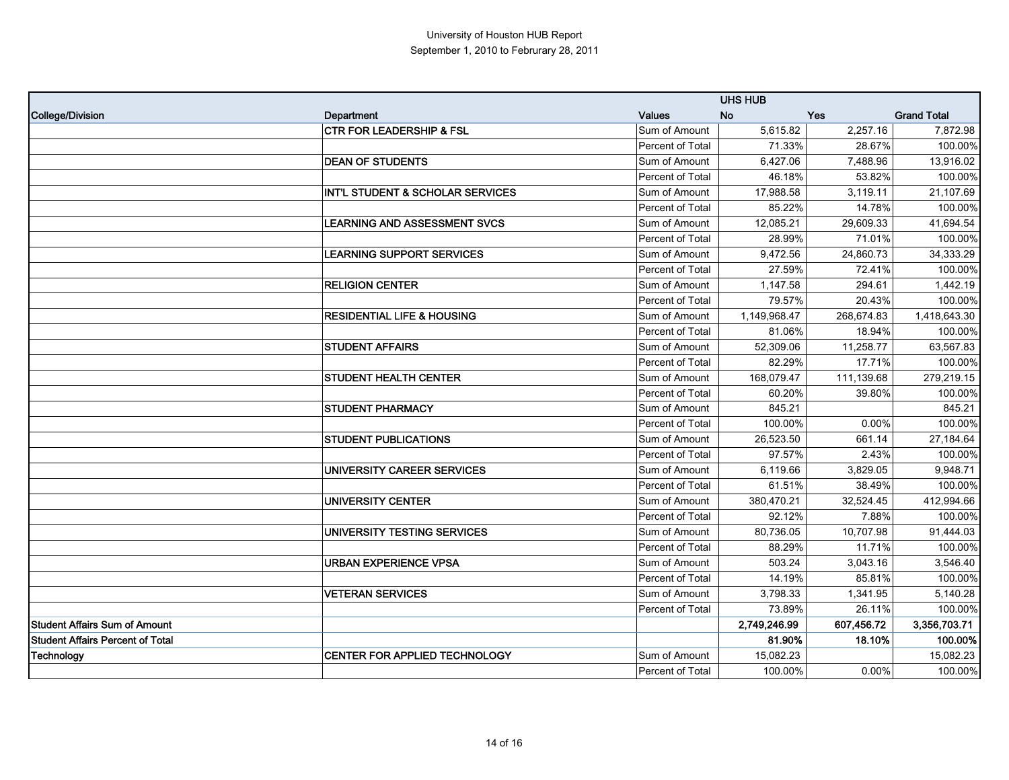|                                         | <b>UHS HUB</b>                              |                         |              |            |                    |
|-----------------------------------------|---------------------------------------------|-------------------------|--------------|------------|--------------------|
| <b>College/Division</b>                 | Department                                  | <b>Values</b>           | <b>No</b>    | Yes        | <b>Grand Total</b> |
|                                         | <b>CTR FOR LEADERSHIP &amp; FSL</b>         | Sum of Amount           | 5,615.82     | 2,257.16   | 7,872.98           |
|                                         |                                             | Percent of Total        | 71.33%       | 28.67%     | 100.00%            |
|                                         | <b>DEAN OF STUDENTS</b>                     | Sum of Amount           | 6,427.06     | 7,488.96   | 13,916.02          |
|                                         |                                             | Percent of Total        | 46.18%       | 53.82%     | 100.00%            |
|                                         | <b>INT'L STUDENT &amp; SCHOLAR SERVICES</b> | Sum of Amount           | 17,988.58    | 3,119.11   | 21,107.69          |
|                                         |                                             | <b>Percent of Total</b> | 85.22%       | 14.78%     | 100.00%            |
|                                         | <b>LEARNING AND ASSESSMENT SVCS</b>         | Sum of Amount           | 12,085.21    | 29,609.33  | 41,694.54          |
|                                         |                                             | Percent of Total        | 28.99%       | 71.01%     | 100.00%            |
|                                         | <b>LEARNING SUPPORT SERVICES</b>            | Sum of Amount           | 9,472.56     | 24,860.73  | 34,333.29          |
|                                         |                                             | Percent of Total        | 27.59%       | 72.41%     | 100.00%            |
|                                         | <b>RELIGION CENTER</b>                      | Sum of Amount           | 1,147.58     | 294.61     | 1,442.19           |
|                                         |                                             | Percent of Total        | 79.57%       | 20.43%     | 100.00%            |
|                                         | <b>RESIDENTIAL LIFE &amp; HOUSING</b>       | Sum of Amount           | 1,149,968.47 | 268,674.83 | 1,418,643.30       |
|                                         |                                             | Percent of Total        | 81.06%       | 18.94%     | 100.00%            |
|                                         | <b>STUDENT AFFAIRS</b>                      | Sum of Amount           | 52,309.06    | 11,258.77  | 63,567.83          |
|                                         |                                             | Percent of Total        | 82.29%       | 17.71%     | 100.00%            |
|                                         | <b>STUDENT HEALTH CENTER</b>                | Sum of Amount           | 168,079.47   | 111,139.68 | 279,219.15         |
|                                         |                                             | <b>Percent of Total</b> | 60.20%       | 39.80%     | 100.00%            |
|                                         | <b>STUDENT PHARMACY</b>                     | Sum of Amount           | 845.21       |            | 845.21             |
|                                         |                                             | <b>Percent of Total</b> | 100.00%      | 0.00%      | 100.00%            |
|                                         | <b>STUDENT PUBLICATIONS</b>                 | Sum of Amount           | 26,523.50    | 661.14     | 27,184.64          |
|                                         |                                             | <b>Percent of Total</b> | 97.57%       | 2.43%      | 100.00%            |
|                                         | UNIVERSITY CAREER SERVICES                  | Sum of Amount           | 6,119.66     | 3,829.05   | 9,948.71           |
|                                         |                                             | Percent of Total        | 61.51%       | 38.49%     | 100.00%            |
|                                         | <b>UNIVERSITY CENTER</b>                    | Sum of Amount           | 380,470.21   | 32,524.45  | 412,994.66         |
|                                         |                                             | <b>Percent of Total</b> | 92.12%       | 7.88%      | 100.00%            |
|                                         | UNIVERSITY TESTING SERVICES                 | Sum of Amount           | 80,736.05    | 10,707.98  | 91,444.03          |
|                                         |                                             | Percent of Total        | 88.29%       | 11.71%     | 100.00%            |
|                                         | <b>URBAN EXPERIENCE VPSA</b>                | Sum of Amount           | 503.24       | 3,043.16   | 3,546.40           |
|                                         |                                             | Percent of Total        | 14.19%       | 85.81%     | 100.00%            |
|                                         | <b>VETERAN SERVICES</b>                     | Sum of Amount           | 3,798.33     | 1,341.95   | 5,140.28           |
|                                         |                                             | Percent of Total        | 73.89%       | 26.11%     | 100.00%            |
| <b>Student Affairs Sum of Amount</b>    |                                             |                         | 2,749,246.99 | 607,456.72 | 3,356,703.71       |
| <b>Student Affairs Percent of Total</b> |                                             |                         | 81.90%       | 18.10%     | 100.00%            |
| Technology                              | <b>CENTER FOR APPLIED TECHNOLOGY</b>        | Sum of Amount           | 15,082.23    |            | 15,082.23          |
|                                         |                                             | <b>Percent of Total</b> | 100.00%      | $0.00\%$   | 100.00%            |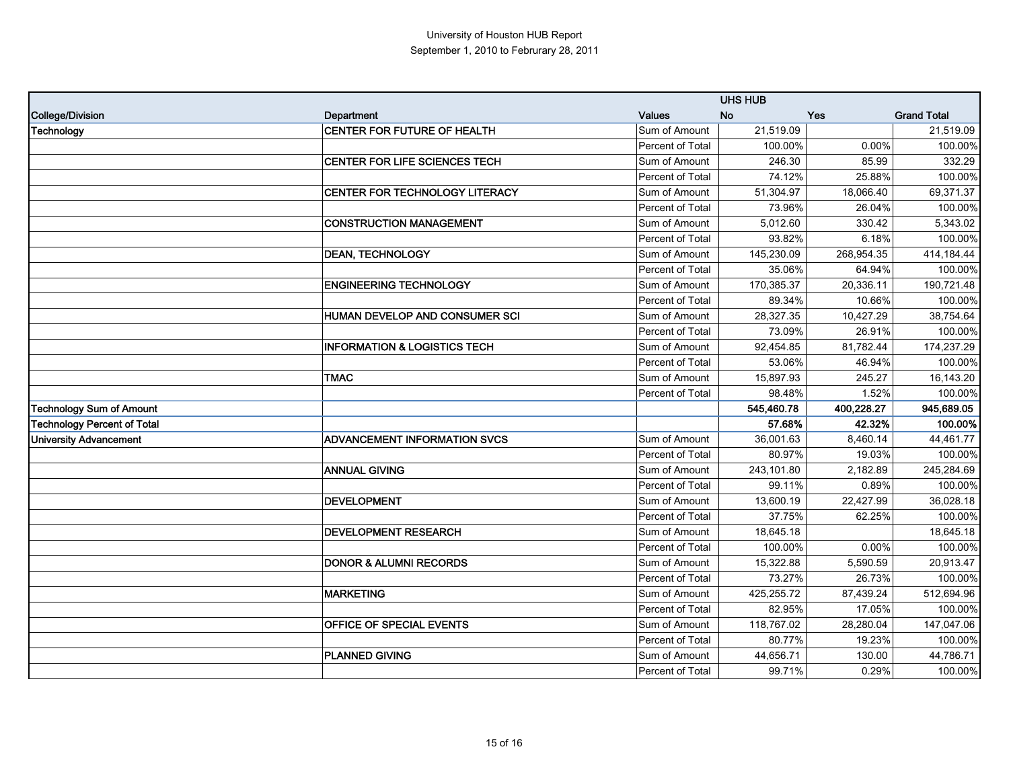|                                    |                                         | <b>UHS HUB</b>   |            |            |                    |
|------------------------------------|-----------------------------------------|------------------|------------|------------|--------------------|
| <b>College/Division</b>            | Department                              | <b>Values</b>    | <b>No</b>  | Yes        | <b>Grand Total</b> |
| <b>Technology</b>                  | <b>CENTER FOR FUTURE OF HEALTH</b>      | Sum of Amount    | 21,519.09  |            | 21,519.09          |
|                                    |                                         | Percent of Total | 100.00%    | 0.00%      | 100.00%            |
|                                    | CENTER FOR LIFE SCIENCES TECH           | Sum of Amount    | 246.30     | 85.99      | 332.29             |
|                                    |                                         | Percent of Total | 74.12%     | 25.88%     | 100.00%            |
|                                    | CENTER FOR TECHNOLOGY LITERACY          | Sum of Amount    | 51,304.97  | 18,066.40  | 69,371.37          |
|                                    |                                         | Percent of Total | 73.96%     | 26.04%     | 100.00%            |
|                                    | <b>CONSTRUCTION MANAGEMENT</b>          | Sum of Amount    | 5,012.60   | 330.42     | 5,343.02           |
|                                    |                                         | Percent of Total | 93.82%     | 6.18%      | 100.00%            |
|                                    | <b>DEAN, TECHNOLOGY</b>                 | Sum of Amount    | 145,230.09 | 268,954.35 | 414,184.44         |
|                                    |                                         | Percent of Total | 35.06%     | 64.94%     | 100.00%            |
|                                    | <b>ENGINEERING TECHNOLOGY</b>           | Sum of Amount    | 170,385.37 | 20,336.11  | 190,721.48         |
|                                    |                                         | Percent of Total | 89.34%     | 10.66%     | 100.00%            |
|                                    | HUMAN DEVELOP AND CONSUMER SCI          | Sum of Amount    | 28,327.35  | 10,427.29  | 38,754.64          |
|                                    |                                         | Percent of Total | 73.09%     | 26.91%     | 100.00%            |
|                                    | <b>INFORMATION &amp; LOGISTICS TECH</b> | Sum of Amount    | 92,454.85  | 81,782.44  | 174,237.29         |
|                                    |                                         | Percent of Total | 53.06%     | 46.94%     | 100.00%            |
|                                    | <b>TMAC</b>                             | Sum of Amount    | 15,897.93  | 245.27     | 16,143.20          |
|                                    |                                         | Percent of Total | 98.48%     | 1.52%      | 100.00%            |
| <b>Technology Sum of Amount</b>    |                                         |                  | 545,460.78 | 400,228.27 | 945,689.05         |
| <b>Technology Percent of Total</b> |                                         |                  | 57.68%     | 42.32%     | 100.00%            |
| <b>University Advancement</b>      | <b>ADVANCEMENT INFORMATION SVCS</b>     | Sum of Amount    | 36,001.63  | 8,460.14   | 44,461.77          |
|                                    |                                         | Percent of Total | 80.97%     | 19.03%     | 100.00%            |
|                                    | <b>ANNUAL GIVING</b>                    | Sum of Amount    | 243,101.80 | 2,182.89   | 245,284.69         |
|                                    |                                         | Percent of Total | 99.11%     | 0.89%      | 100.00%            |
|                                    | <b>DEVELOPMENT</b>                      | Sum of Amount    | 13,600.19  | 22,427.99  | 36,028.18          |
|                                    |                                         | Percent of Total | 37.75%     | 62.25%     | 100.00%            |
|                                    | <b>DEVELOPMENT RESEARCH</b>             | Sum of Amount    | 18,645.18  |            | 18,645.18          |
|                                    |                                         | Percent of Total | 100.00%    | 0.00%      | 100.00%            |
|                                    | <b>DONOR &amp; ALUMNI RECORDS</b>       | Sum of Amount    | 15,322.88  | 5,590.59   | 20,913.47          |
|                                    |                                         | Percent of Total | 73.27%     | 26.73%     | 100.00%            |
|                                    | <b>MARKETING</b>                        | Sum of Amount    | 425,255.72 | 87,439.24  | 512,694.96         |
|                                    |                                         | Percent of Total | 82.95%     | 17.05%     | 100.00%            |
|                                    | OFFICE OF SPECIAL EVENTS                | Sum of Amount    | 118,767.02 | 28,280.04  | 147,047.06         |
|                                    |                                         | Percent of Total | 80.77%     | 19.23%     | 100.00%            |
|                                    | <b>PLANNED GIVING</b>                   | Sum of Amount    | 44,656.71  | 130.00     | 44,786.71          |
|                                    |                                         | Percent of Total | 99.71%     | 0.29%      | 100.00%            |